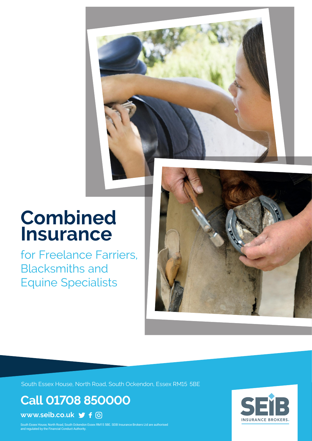# **Combined Insurance**

for Freelance Farriers, Blacksmiths and Equine Specialists



South Essex House, North Road, South Ockendon, Essex RM15 5BE

**Call 01708 850000**

**www.seib.co.uk**

South Essex House, North Road, South Ockendon Essex RM15 5BE. SEIB Insurance Brokers Ltd are authorised<br>and regulated by the Financial Conduct Authority. and regulated by the Financial Conduct Authority.

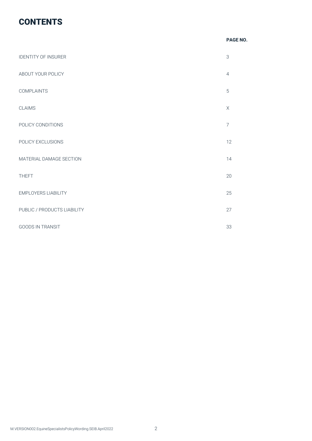# **CONTENTS**

### *PAGE NO.* **PAGE NO.**

| <b>IDENTITY OF INSURER</b>  | $\ensuremath{\mathsf{3}}$ |
|-----------------------------|---------------------------|
| ABOUT YOUR POLICY           | $\overline{4}$            |
| <b>COMPLAINTS</b>           | 5                         |
| <b>CLAIMS</b>               | $\mathsf X$               |
| POLICY CONDITIONS           | $\overline{7}$            |
| POLICY EXCLUSIONS           | 12                        |
| MATERIAL DAMAGE SECTION     | 14                        |
| <b>THEFT</b>                | 20                        |
| <b>EMPLOYERS LIABILITY</b>  | 25                        |
| PUBLIC / PRODUCTS LIABILITY | 27                        |
| <b>GOODS IN TRANSIT</b>     | 33                        |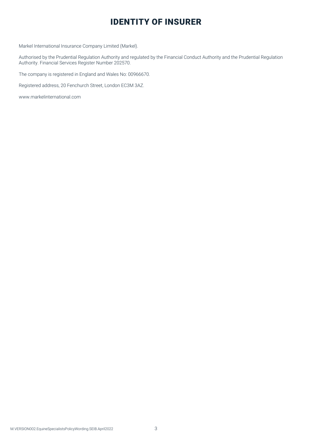# IDENTITY OF INSURER

Markel International Insurance Company Limited (Markel).

Authorised by the Prudential Regulation Authority and regulated by the Financial Conduct Authority and the Prudential Regulation Authority. Financial Services Register Number 202570.

The company is registered in England and Wales No: 00966670.

Registered address, 20 Fenchurch Street, London EC3M 3AZ.

www.markelinternational.com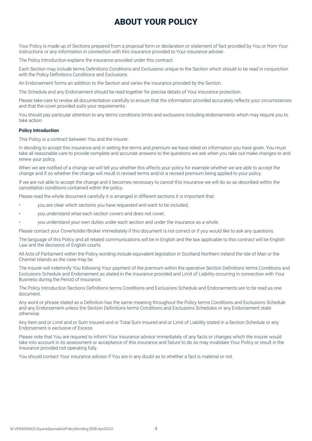# ABOUT YOUR POLICY

Your Policy is made up of Sections prepared from a proposal form or declaration or statement of fact provided by You or from Your instructions or any information in connection with this insurance provided to Your insurance adviser.

The Policy Introduction explains the insurance provided under this contract.

Each Section may include terms Definitions Conditions and Exclusions unique to the Section which should to be read in conjunction with the Policy Definitions Conditions and Exclusions.

An Endorsement forms an addition to the Section and varies the insurance provided by the Section.

The Schedule and any Endorsement should be read together for precise details of Your insurance protection.

Please take care to review all documentation carefully to ensure that the information provided accurately reflects your circumstances and that the cover provided suits your requirements.

You should pay particular attention to any terms conditions limits and exclusions including endorsements which may require you to take action.

#### **Policy Introduction**

This Policy is a contract between You and the insurer.

In deciding to accept this insurance and in setting the terms and premium we have relied on information you have given. You must take all reasonable care to provide complete and accurate answers to the questions we ask when you take out make changes to and renew your policy.

When we are notified of a change we will tell you whether this affects your policy for example whether we are able to accept the change and if so whether the change will result in revised terms and/or a revised premium being applied to your policy.

If we are not able to accept the change and it becomes necessary to cancel this insurance we will do so as described within the cancellation conditions contained within the policy.

Please read the whole document carefully it is arranged in different sections It is important that:

- you are clear which sections you have requested and want to be included;
- you understand what each section covers and does not cover;
- you understand your own duties under each section and under the insurance as a whole.

Please contact your Coverholder/Broker immediately if this document is not correct or if you would like to ask any questions.

The language of this Policy and all related communications will be in English and the law applicable to this contract will be English Law and the decisions of English courts.

All Acts of Parliament within the Policy wording include equivalent legislation in Scotland Northern Ireland the Isle of Man or the Channel Islands as the case may be.

The insurer will indemnify You following Your payment of the premium within the operative Section Definitions terms Conditions and Exclusions Schedule and Endorsement as stated in the Insurance provided and Limit of Liability occurring in connection with Your Business during the Period of Insurance.

The Policy Introduction Sections Definitions terms Conditions and Exclusions Schedule and Endorsements are to be read as one document.

Any word or phrase stated as a Definition has the same meaning throughout the Policy terms Conditions and Exclusions Schedule and any Endorsement unless the Section Definitions terms Conditions and Exclusions Schedules or any Endorsement state otherwise.

Any Item and or Limit and or Sum Insured and or Total Sum Insured and or Limit of Liability stated in a Section Schedule or any Endorsement is exclusive of Excess.

Please note that You are required to inform Your insurance advisor immediately of any facts or changes which the insurer would take into account in its assessment or acceptance of this insurance and failure to do so may invalidate Your Policy or result in the Insurance provided not operating fully.

You should contact Your insurance advisor if You are in any doubt as to whether a fact is material or not.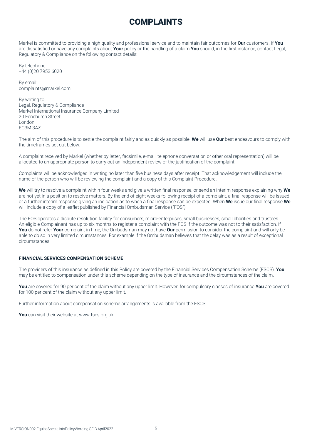# COMPLAINTS

Markel is committed to providing a high quality and professional service and to maintain fair outcomes for **Our** customers. If **You** are dissatisfied or have any complaints about **Your** policy or the handling of a claim **You** should, in the first instance, contact Legal, Regulatory & Compliance on the following contact details:

By telephone: +44 (0)20 7953 6020

By email: complaints@markel.com

By writing to: Legal, Regulatory & Compliance Markel International Insurance Company Limited 20 Fenchurch Street London EC3M 3AZ

The aim of this procedure is to settle the complaint fairly and as quickly as possible. **We** will use **Our** best endeavours to comply with the timeframes set out below.

A complaint received by Markel (whether by letter, facsimile, e-mail, telephone conversation or other oral representation) will be allocated to an appropriate person to carry out an independent review of the justification of the complaint.

Complaints will be acknowledged in writing no later than five business days after receipt. That acknowledgement will include the name of the person who will be reviewing the complaint and a copy of this Complaint Procedure.

**We** will try to resolve a complaint within four weeks and give a written final response, or send an interim response explaining why **We** are not yet in a position to resolve matters. By the end of eight weeks following receipt of a complaint, a final response will be issued or a further interim response giving an indication as to when a final response can be expected. When **We** issue our final response **We**  will include a copy of a leaflet published by Financial Ombudsman Service ("FOS").

The FOS operates a dispute resolution facility for consumers, micro-enterprises, small businesses, small charities and trustees. An eligible Complainant has up to six months to register a complaint with the FOS if the outcome was not to their satisfaction. If You do not refer Your complaint in time, the Ombudsman may not have Our permission to consider the complaint and will only be able to do so in very limited circumstances. For example if the Ombudsman believes that the delay was as a result of exceptional circumstances.

# **FINANCIAL SERVICES COMPENSATION SCHEME**

The providers of this insurance as defined in this Policy are covered by the Financial Services Compensation Scheme (FSCS). **You**  may be entitled to compensation under this scheme depending on the type of insurance and the circumstances of the claim.

**You** are covered for 90 per cent of the claim without any upper limit. However, for compulsory classes of insurance **You** are covered for 100 per cent of the claim without any upper limit.

Further information about compensation scheme arrangements is available from the FSCS.

**You** can visit their website at www.fscs.org.uk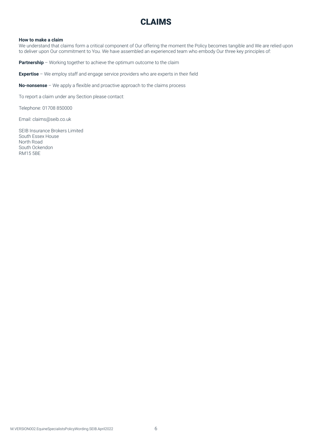# CLAIMS

#### **How to make a claim**

We understand that claims form a critical component of Our offering the moment the Policy becomes tangible and We are relied upon to deliver upon Our commitment to You. We have assembled an experienced team who embody Our three key principles of:

**Partnership** – Working together to achieve the optimum outcome to the claim

**Expertise** – We employ staff and engage service providers who are experts in their field

**No-nonsense** – We apply a flexible and proactive approach to the claims process

To report a claim under any Section please contact:

Telephone: 01708 850000

Email: claims@seib.co.uk

SEIB Insurance Brokers Limited South Essex House North Road South Ockendon RM15 5BE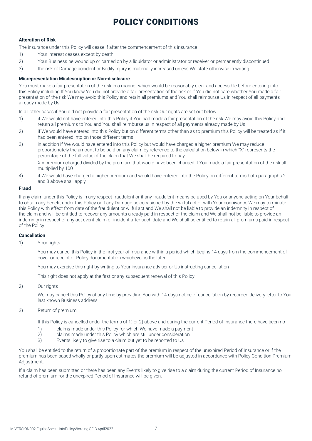# POLICY CONDITIONS

# **Alteration of Risk**

The insurance under this Policy will cease if after the commencement of this insurance

- 1) Your interest ceases except by death
- 2) Your Business be wound up or carried on by a liquidator or administrator or receiver or permanently discontinued
- 3) the risk of Damage accident or Bodily Injury is materially increased unless We state otherwise in writing

#### **Misrepresentation Misdescription or Non-disclosure**

You must make a fair presentation of the risk in a manner which would be reasonably clear and accessible before entering into this Policy including If You knew You did not provide a fair presentation of the risk or if You did not care whether You made a fair presentation of the risk We may avoid this Policy and retain all premiums and You shall reimburse Us in respect of all payments already made by Us.

In all other cases if You did not provide a fair presentation of the risk Our rights are set out below

- 1) if We would not have entered into this Policy if You had made a fair presentation of the risk We may avoid this Policy and return all premiums to You and You shall reimburse us in respect of all payments already made by Us
- 2) if We would have entered into this Policy but on different terms other than as to premium this Policy will be treated as if it had been entered into on those different terms
- 3) in addition if We would have entered into this Policy but would have charged a higher premium We may reduce proportionately the amount to be paid on any claim by reference to the calculation below in which "X" represents the percentage of the full value of the claim that We shall be required to pay

X = premium charged divided by the premium that would have been charged if You made a fair presentation of the risk all multiplied by 100

4) if We would have charged a higher premium and would have entered into the Policy on different terms both paragraphs 2 and 3 above shall apply

#### **Fraud**

If any claim under this Policy is in any respect fraudulent or if any fraudulent means be used by You or anyone acting on Your behalf to obtain any benefit under this Policy or if any Damage be occasioned by the wilful act or with Your connivance We may terminate this Policy with effect from date of the fraudulent or wilful act and We shall not be liable to provide an indemnity in respect of the claim and will be entitled to recover any amounts already paid in respect of the claim and We shall not be liable to provide an indemnity in respect of any act event claim or incident after such date and We shall be entitled to retain all premiums paid in respect of the Policy.

### **Cancellation**

#### 1) Your rights

You may cancel this Policy in the first year of insurance within a period which begins 14 days from the commencement of cover or receipt of Policy documentation whichever is the later

You may exercise this right by writing to Your insurance adviser or Us instructing cancellation

This right does not apply at the first or any subsequent renewal of this Policy

2) Our rights

We may cancel this Policy at any time by providing You with 14 days notice of cancellation by recorded delivery letter to Your last known Business address

3) Return of premium

If this Policy is cancelled under the terms of 1) or 2) above and during the current Period of Insurance there have been no

- 1) claims made under this Policy for which We have made a payment
- 2) claims made under this Policy which are still under consideration<br>3) Events likely to give rise to a claim but yet to be reported to Us
- Events likely to give rise to a claim but yet to be reported to Us

You shall be entitled to the return of a proportionate part of the premium in respect of the unexpired Period of Insurance or if the premium has been based wholly or partly upon estimates the premium will be adjusted in accordance with Policy Condition Premium Adjustment.

If a claim has been submitted or there has been any Events likely to give rise to a claim during the current Period of Insurance no refund of premium for the unexpired Period of Insurance will be given.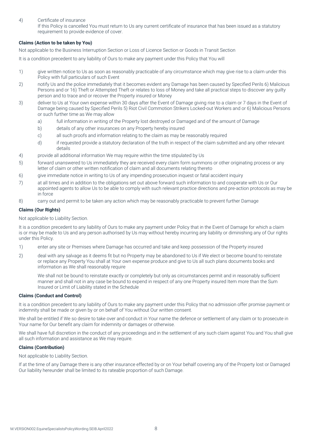# 4) Certificate of insurance

If this Policy is cancelled You must return to Us any current certificate of insurance that has been issued as a statutory requirement to provide evidence of cover.

# **Claims (Action to be taken by You)**

Not applicable to the Business Interruption Section or Loss of Licence Section or Goods in Transit Section

It is a condition precedent to any liability of Ours to make any payment under this Policy that You will

- 1) give written notice to Us as soon as reasonably practicable of any circumstance which may give rise to a claim under this Policy with full particulars of such Event
- 2) notify Us and the police immediately that it becomes evident any Damage has been caused by Specified Perils 6) Malicious Persons and or 16) Theft or Attempted Theft or relates to loss of Money and take all practical steps to discover any guilty person and to trace and or recover the Property insured or Money
- 3) deliver to Us at Your own expense within 30 days after the Event of Damage giving rise to a claim or 7 days in the Event of Damage being caused by Specified Perils 5) Riot Civil Commotion Strikers Locked-out Workers and or 6) Malicious Persons or such further time as We may allow
	- a) full information in writing of the Property lost destroyed or Damaged and of the amount of Damage
	- b) details of any other insurances on any Property hereby insured
	- c) all such proofs and information relating to the claim as may be reasonably required
	- d) if requested provide a statutory declaration of the truth in respect of the claim submitted and any other relevant details
- 4) provide all additional information We may require within the time stipulated by Us
- 5) forward unanswered to Us immediately they are received every claim form summons or other originating process or any letter of claim or other written notification of claim and all documents relating thereto
- 6) give immediate notice in writing to Us of any impending prosecution inquest or fatal accident inquiry
- 7) at all times and in addition to the obligations set out above forward such information to and cooperate with Us or Our appointed agents to allow Us to be able to comply with such relevant practice directions and pre-action protocols as may be in force
- 8) carry out and permit to be taken any action which may be reasonably practicable to prevent further Damage

#### **Claims (Our Rights)**

Not applicable to Liability Section.

It is a condition precedent to any liability of Ours to make any payment under Policy that in the Event of Damage for which a claim is or may be made to Us and any person authorised by Us may without hereby incurring any liability or diminishing any of Our rights under this Policy.

- 1) enter any site or Premises where Damage has occurred and take and keep possession of the Property insured
- 2) deal with any salvage as it deems fit but no Property may be abandoned to Us if We elect or become bound to reinstate or replace any Property You shall at Your own expense produce and give to Us all such plans documents books and information as We shall reasonably require

We shall not be bound to reinstate exactly or completely but only as circumstances permit and in reasonably sufficient manner and shall not in any case be bound to expend in respect of any one Property insured Item more than the Sum Insured or Limit of Liability stated in the Schedule

#### **Claims (Conduct and Control)**

It is a condition precedent to any liability of Ours to make any payment under this Policy that no admission offer promise payment or indemnity shall be made or given by or on behalf of You without Our written consent.

We shall be entitled if We so desire to take over and conduct in Your name the defence or settlement of any claim or to prosecute in Your name for Our benefit any claim for indemnity or damages or otherwise.

We shall have full discretion in the conduct of any proceedings and in the settlement of any such claim against You and You shall give all such information and assistance as We may require.

#### **Claims (Contribution)**

Not applicable to Liability Section.

If at the time of any Damage there is any other insurance effected by or on Your behalf covering any of the Property lost or Damaged Our liability hereunder shall be limited to its rateable proportion of such Damage.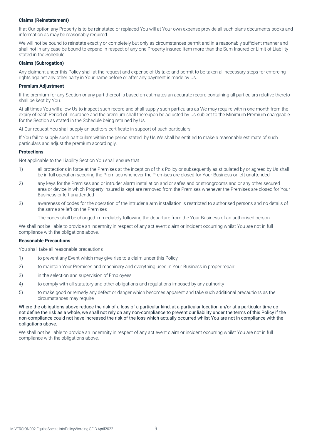#### **Claims (Reinstatement)**

If at Our option any Property is to be reinstated or replaced You will at Your own expense provide all such plans documents books and information as may be reasonably required.

We will not be bound to reinstate exactly or completely but only as circumstances permit and in a reasonably sufficient manner and shall not in any case be bound to expend in respect of any one Property insured Item more than the Sum Insured or Limit of Liability stated in the Schedule.

#### **Claims (Subrogation)**

Any claimant under this Policy shall at the request and expense of Us take and permit to be taken all necessary steps for enforcing rights against any other party in Your name before or after any payment is made by Us.

#### **Premium Adjustment**

If the premium for any Section or any part thereof is based on estimates an accurate record containing all particulars relative thereto shall be kept by You.

At all times You will allow Us to inspect such record and shall supply such particulars as We may require within one month from the expiry of each Period of Insurance and the premium shall thereupon be adjusted by Us subject to the Minimum Premium chargeable for the Section as stated in the Schedule being retained by Us.

At Our request You shall supply an auditors certificate in support of such particulars.

If You fail to supply such particulars within the period stated by Us We shall be entitled to make a reasonable estimate of such particulars and adjust the premium accordingly.

#### **Protections**

Not applicable to the Liability Section You shall ensure that

- 1) all protections in force at the Premises at the inception of this Policy or subsequently as stipulated by or agreed by Us shall be in full operation securing the Premises whenever the Premises are closed for Your Business or left unattended
- 2) any keys for the Premises and or intruder alarm installation and or safes and or strongrooms and or any other secured area or device in which Property insured is kept are removed from the Premises whenever the Premises are closed for Your Business or left unattended
- 3) awareness of codes for the operation of the intruder alarm installation is restricted to authorised persons and no details of the same are left on the Premises

The codes shall be changed immediately following the departure from the Your Business of an authorised person

We shall not be liable to provide an indemnity in respect of any act event claim or incident occurring whilst You are not in full compliance with the obligations above.

#### **Reasonable Precautions**

You shall take all reasonable precautions

- 1) to prevent any Event which may give rise to a claim under this Policy
- 2) to maintain Your Premises and machinery and everything used in Your Business in proper repair
- 3) in the selection and supervision of Employees
- 4) to comply with all statutory and other obligations and regulations imposed by any authority
- 5) to make good or remedy any defect or danger which becomes apparent and take such additional precautions as the circumstances may require

Where the obligations above reduce the risk of a loss of a particular kind, at a particular location an/or at a particular time do not define the risk as a whole, we shall not rely on any non-compliance to prevent our liability under the terms of this Policy if the non-compliance could not have increased the risk of the loss which actually occurred whilst You are not in compliance with the obligations above.

We shall not be liable to provide an indemnity in respect of any act event claim or incident occurring whilst You are not in full compliance with the obligations above.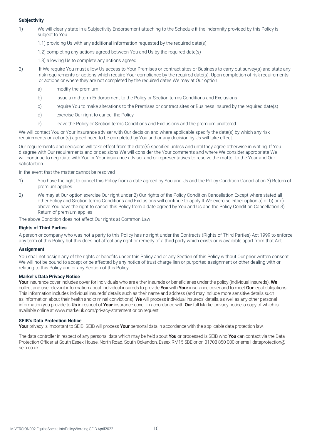#### **Subjectivity**

- 1) We will clearly state in a Subjectivity Endorsement attaching to the Schedule if the indemnity provided by this Policy is subject to You
	- 1.1) providing Us with any additional information requested by the required date(s)
	- 1.2) completing any actions agreed between You and Us by the required date(s)
	- 1.3) allowing Us to complete any actions agreed
- 2) If We require You must allow Us access to Your Premises or contract sites or Business to carry out survey(s) and state any risk requirements or actions which require Your compliance by the required date(s). Upon completion of risk requirements or actions or where they are not completed by the required dates We may at Our option.
	- a) modify the premium
	- b) issue a mid-term Endorsement to the Policy or Section terms Conditions and Exclusions
	- c) require You to make alterations to the Premises or contract sites or Business insured by the required date(s)
	- d) exercise Our right to cancel the Policy
	- e) leave the Policy or Section terms Conditions and Exclusions and the premium unaltered

We will contact You or Your insurance adviser with Our decision and where applicable specify the date(s) by which any risk requirements or action(s) agreed need to be completed by You and or any decision by Us will take effect.

Our requirements and decisions will take effect from the date(s) specified unless and until they agree otherwise in writing. If You disagree with Our requirements and or decisions We will consider the Your comments and where We consider appropriate We will continue to negotiate with You or Your insurance adviser and or representatives to resolve the matter to the Your and Our satisfaction.

In the event that the matter cannot be resolved

- 1) You have the right to cancel this Policy from a date agreed by You and Us and the Policy Condition Cancellation 3) Return of premium applies
- 2) We may at Our option exercise Our right under 2) Our rights of the Policy Condition Cancellation Except where stated all other Policy and Section terms Conditions and Exclusions will continue to apply If We exercise either option a) or b) or c) above You have the right to cancel this Policy from a date agreed by You and Us and the Policy Condition Cancellation 3) Return of premium applies
- The above Condition does not affect Our rights at Common Law

#### **Rights of Third Parties**

A person or company who was not a party to this Policy has no right under the Contracts (Rights of Third Parties) Act 1999 to enforce any term of this Policy but this does not affect any right or remedy of a third party which exists or is available apart from that Act.

#### **Assignment**

You shall not assign any of the rights or benefits under this Policy and or any Section of this Policy without Our prior written consent. We will not be bound to accept or be affected by any notice of trust charge lien or purported assignment or other dealing with or relating to this Policy and or any Section of this Policy.

# **Markel's Data Privacy Notice**

**Your** insurance cover includes cover for individuals who are either insureds or beneficiaries under the policy (individual insureds). **We** collect and use relevant information about individual insureds to provide **You** with **Your** insurance cover and to meet **Our** legal obligations. This information includes individual insureds' details such as their name and address (and may include more sensitive details such as information about their health and criminal convictions). **We** will process individual insureds' details, as well as any other personal information you provide to **Us** in respect of **Your** insurance cover, in accordance with **Our** full Markel privacy notice, a copy of which is available online at www.markeluk.com/privacy-statement or on request.

#### **SEIB's Data Protection Notice**

**Your** privacy is important to SEIB. SEIB will process **Your** personal data in accordance with the applicable data protection law.

The data controller in respect of any personal data which may be held about **You** or processed is SEIB who **You** can contact via the Data Protection Officer at South Essex House, North Road, South Ockendon, Essex RM15 5BE or on 01708 850 000 or email dataprotection@ seib.co.uk.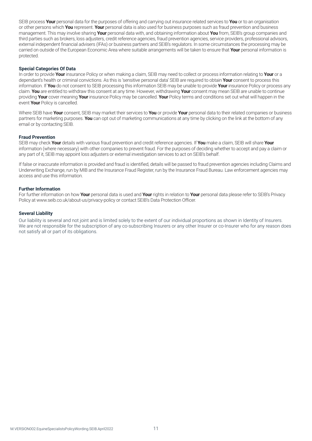SEIB process **Your** personal data for the purposes of offering and carrying out insurance related services to **You** or to an organisation or other persons which **You** represent. **Your** personal data is also used for business purposes such as fraud prevention and business management. This may involve sharing **Your** personal data with, and obtaining information about **You** from, SEIB's group companies and third parties such as brokers, loss adjusters, credit reference agencies, fraud prevention agencies, service providers, professional advisors, external independent financial advisers (IFAs) or business partners and SEIB's regulators. In some circumstances the processing may be carried on outside of the European Economic Area where suitable arrangements will be taken to ensure that **Your** personal information is protected.

#### **Special Categories Of Data**

In order to provide **Your** insurance Policy or when making a claim, SEIB may need to collect or process information relating to **Your** or a dependant's health or criminal convictions. As this is 'sensitive personal data' SEIB are required to obtain **Your** consent to process this information. If **You** do not consent to SEIB processing this information SEIB may be unable to provide **Your** insurance Policy or process any claim. **You** are entitled to withdraw this consent at any time. However, withdrawing **Your** consent may mean SEIB are unable to continue providing **Your** cover meaning **Your** insurance Policy may be cancelled. **Your** Policy terms and conditions set out what will happen in the event **Your** Policy is cancelled.

Where SEIB have **Your** consent, SEIB may market their services to **You** or provide **Your** personal data to their related companies or business partners for marketing purposes. **You** can opt out of marketing communications at any time by clicking on the link at the bottom of any email or by contacting SEIB.

#### **Fraud Prevention**

SEIB may check **Your** details with various fraud prevention and credit reference agencies. If **You** make a claim, SEIB will share **Your** information (where necessary) with other companies to prevent fraud. For the purposes of deciding whether to accept and pay a claim or any part of it, SEIB may appoint loss adjusters or external investigation services to act on SEIB's behalf.

If false or inaccurate information is provided and fraud is identified, details will be passed to fraud prevention agencies including Claims and Underwriting Exchange, run by MIB and the Insurance Fraud Register, run by the Insurance Fraud Bureau. Law enforcement agencies may access and use this information.

#### **Further Information**

For further information on how **Your** personal data is used and **Your** rights in relation to **Your** personal data please refer to SEIB's Privacy Policy at www.seib.co.uk/about-us/privacy-policy or contact SEIB's Data Protection Officer.

#### **Several Liability**

Our liability is several and not joint and is limited solely to the extent of our individual proportions as shown in Identity of Insurers. We are not responsible for the subscription of any co-subscribing Insurers or any other Insurer or co-Insurer who for any reason does not satisfy all or part of its obligations.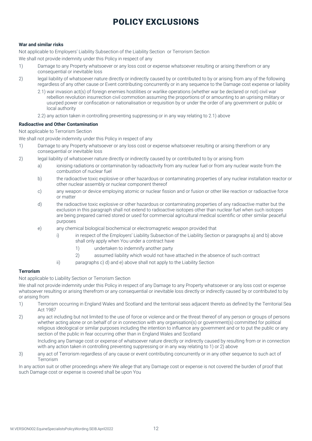# POLICY EXCLUSIONS

#### **War and similar risks**

Not applicable to Employers' Liability Subsection of the Liability Section or Terrorism Section

We shall not provide indemnity under this Policy in respect of any

- 1) Damage to any Property whatsoever or any loss cost or expense whatsoever resulting or arising therefrom or any consequential or inevitable loss
- 2) legal liability of whatsoever nature directly or indirectly caused by or contributed to by or arising from any of the following regardless of any other cause or Event contributing concurrently or in any sequence to the Damage cost expense or liability
	- 2.1) war invasion act(s) of foreign enemies hostilities or warlike operations (whether war be declared or not) civil war rebellion revolution insurrection civil commotion assuming the proportions of or amounting to an uprising military or usurped power or confiscation or nationalisation or requisition by or under the order of any government or public or local authority
	- 2.2) any action taken in controlling preventing suppressing or in any way relating to 2.1) above

#### **Radioactive and Other Contamination**

#### Not applicable to Terrorism Section

We shall not provide indemnity under this Policy in respect of any

- 1) Damage to any Property whatsoever or any loss cost or expense whatsoever resulting or arising therefrom or any consequential or inevitable loss
- 2) legal liability of whatsoever nature directly or indirectly caused by or contributed to by or arising from
	- a) ionising radiations or contamination by radioactivity from any nuclear fuel or from any nuclear waste from the combustion of nuclear fuel
	- b) the radioactive toxic explosive or other hazardous or contaminating properties of any nuclear installation reactor or other nuclear assembly or nuclear component thereof
	- c) any weapon or device employing atomic or nuclear fission and or fusion or other like reaction or radioactive force or matter
	- d) the radioactive toxic explosive or other hazardous or contaminating properties of any radioactive matter but the exclusion in this paragraph shall not extend to radioactive isotopes other than nuclear fuel when such isotopes are being prepared carried stored or used for commercial agricultural medical scientific or other similar peaceful purposes
	- e) any chemical biological biochemical or electromagnetic weapon provided that
		- i) in respect of the Employers' Liability Subsection of the Liability Section or paragraphs a) and b) above shall only apply when You under a contract have
			- 1) undertaken to indemnify another party
			- 2) assumed liability which would not have attached in the absence of such contract
		- ii) paragraphs c) d) and e) above shall not apply to the Liability Section

#### **Terrorism**

Not applicable to Liability Section or Terrorism Section

We shall not provide indemnity under this Policy in respect of any Damage to any Property whatsoever or any loss cost or expense whatsoever resulting or arising therefrom or any consequential or inevitable loss directly or indirectly caused by or contributed to by or arising from

- 1) Terrorism occurring in England Wales and Scotland and the territorial seas adjacent thereto as defined by the Territorial Sea Act 1987
- 2) any act including but not limited to the use of force or violence and or the threat thereof of any person or groups of persons whether acting alone or on behalf of or in connection with any organisation(s) or government(s) committed for political religious ideological or similar purposes including the intention to influence any government and or to put the public or any section of the public in fear occurring other than in England Wales and Scotland

Including any Damage cost or expense of whatsoever nature directly or indirectly caused by resulting from or in connection with any action taken in controlling preventing suppressing or in any way relating to 1) or 2) above

3) any act of Terrorism regardless of any cause or event contributing concurrently or in any other sequence to such act of **Terrorism** 

In any action suit or other proceedings where We allege that any Damage cost or expense is not covered the burden of proof that such Damage cost or expense is covered shall be upon You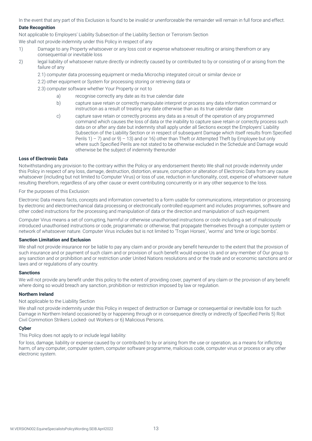In the event that any part of this Exclusion is found to be invalid or unenforceable the remainder will remain in full force and effect.

# **Date Recognition**

Not applicable to Employers' Liability Subsection of the Liability Section or Terrorism Section

We shall not provide indemnity under this Policy in respect of any

- 1) Damage to any Property whatsoever or any loss cost or expense whatsoever resulting or arising therefrom or any consequential or inevitable loss
- 2) legal liability of whatsoever nature directly or indirectly caused by or contributed to by or consisting of or arising from the failure of any
	- 2.1) computer data processing equipment or media Microchip integrated circuit or similar device or
	- 2.2) other equipment or System for processing storing or retrieving data or
	- 2.3) computer software whether Your Property or not to
		- a) recognise correctly any date as its true calendar date
		- b) capture save retain or correctly manipulate interpret or process any data information command or instruction as a result of treating any date otherwise than as its true calendar date
		- c) capture save retain or correctly process any data as a result of the operation of any programmed command which causes the loss of data or the inability to capture save retain or correctly process such data on or after any date but indemnity shall apply under all Sections except the Employers' Liability Subsection of the Liability Section or in respect of subsequent Damage which itself results from Specified Perils  $1) - 7$ ) and or  $9) - 13$ ) and or 16) other than Theft or Attempted Theft by Employee but only where such Specified Perils are not stated to be otherwise excluded in the Schedule and Damage would otherwise be the subject of indemnity thereunder

#### **Loss of Electronic Data**

Notwithstanding any provision to the contrary within the Policy or any endorsement thereto We shall not provide indemnity under this Policy in respect of any loss, damage, destruction, distortion, erasure, corruption or alteration of Electronic Data from any cause whatsoever (including but not limited to Computer Virus) or loss of use, reduction in functionality, cost, expense of whatsoever nature resulting therefrom, regardless of any other cause or event contributing concurrently or in any other sequence to the loss.

For the purposes of this Exclusion:

Electronic Data means facts, concepts and information converted to a form usable for communications, interpretation or processing by electronic and electromechanical data processing or electronically controlled equipment and includes programmes, software and other coded instructions for the processing and manipulation of data or the direction and manipulation of such equipment.

Computer Virus means a set of corrupting, harmful or otherwise unauthorised instructions or code including a set of maliciously introduced unauthorised instructions or code, programmatic or otherwise, that propagate themselves through a computer system or network of whatsoever nature. Computer Virus includes but is not limited to 'Trojan Horses', 'worms' and 'time or logic bombs'.

### **Sanction Limitation and Exclusion**

We shall not provide insurance nor be liable to pay any claim and or provide any benefit hereunder to the extent that the provision of such insurance and or payment of such claim and or provision of such benefit would expose Us and or any member of Our group to any sanction and or prohibition and or restriction under United Nations resolutions and or the trade and or economic sanctions and or laws and or regulations of any country.

#### **Sanctions**

We will not provide any benefit under this policy to the extent of providing cover, payment of any claim or the provision of any benefit where doing so would breach any sanction, prohibition or restriction imposed by law or regulation.

#### **Northern Ireland**

#### Not applicable to the Liability Section

We shall not provide indemnity under this Policy in respect of destruction or Damage or consequential or inevitable loss for such Damage in Northern Ireland occasioned by or happening through or in consequence directly or indirectly of Specified Perils 5) Riot Civil Commotion Strikers Locked- out Workers or 6) Malicious Persons.

#### **Cyber**

This Policy does not apply to or include legal liability:

for loss, damage, liability or expense caused by or contributed to by or arising from the use or operation, as a means for inflicting harm, of any computer, computer system, computer software programme, malicious code, computer virus or process or any other electronic system.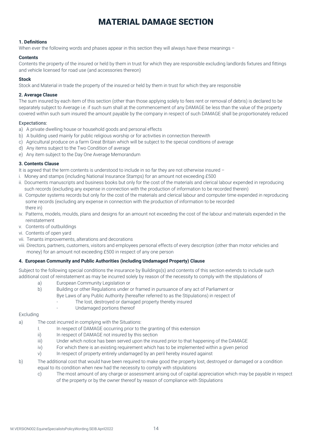# MATERIAL DAMAGE SECTION

# **1. Definitions**

When ever the following words and phases appear in this section they will always have these meanings -

#### **Contents**

Contents the property of the insured or held by them in trust for which they are responsible excluding landlords fixtures and fittings and vehicle licensed for road use (and accessories thereon)

# **Stock**

Stock and Material in trade the property of the insured or held by them in trust for which they are responsible

# **2. Average Clause**

The sum insured by each item of this section (other than those applying solely to fees rent or removal of debris) is declared to be separately subject to Average i.e. if such sum shall at the commencement of any DAMAGE be less than the value of the property covered within such sum insured the amount payable by the company in respect of such DAMAGE shall be proportionately reduced

#### Expectations:

- a) A private dwelling house or household goods and personal effects
- b) A building used mainly for public religious worship or for activities in connection therewith
- c) Agricultural produce on a farm Great Britain which will be subject to the special conditions of average
- d) Any items subject to the Two Condition of average
- e) Any item subject to the Day One Average Memorandum

#### **3. Contents Clause**

It is agreed that the term contents is understood to include in so far they are not otherwise insured -

- i. Money and stamps (including National Insurance Stamps) for an amount not exceeding £500
- ii. Documents manuscripts and business books but only for the cost of the materials and clerical labour expended in reproducing such records (excluding any expense in connection with the production of information to be recorded therein)
- iii. Computer systems records but only for the cost of the materials and clerical labour and computer time expended in reproducing some records (excluding any expense in connection with the production of information to be recorded there in)
- iv. Patterns, models, moulds, plans and designs for an amount not exceeding the cost of the labour and materials expended in the reinstatement
- v. Contents of outbuildings
- vi. Contents of open yard
- vii. Tenants improvements, alterations and decorations
- viii. Directors, partners, customers, visitors and employees personal effects of every description (other than motor vehicles and money) for an amount not exceeding £500 in respect of any one person

# **4. European Community and Public Authorities (including Undamaged Property) Clause**

Subject to the following special conditions the insurance by Buildings(s) and contents of this section extends to include such additional cost of reinstatement as may be incurred solely by reason of the necessity to comply with the stipulations of

- a) European Community Legislation or
- b) Building or other Regulations under or framed in pursuance of any act of Parliament or
	- Bye Laws of any Public Authority (hereafter referred to as the Stipulations) in respect of
	- The lost, destroyed or damaged property thereby insured
	- Undamaged portions thereof

#### Excluding

- a) The cost incurred in complying with the Situations:
	- I. In respect of DAMAGE occurring prior to the granting of this extension
	- ii) In respect of DAMAGE not insured by this section
	- iii) Under which notice has been served upon the insured prior to that happening of the DAMAGE
	- iv) For which there is an existing requirement which has to be implemented within a given period
	- v) In respect of property entirely undamaged by an peril hereby insured against
- b) The additional cost that would have been required to make good the property lost, destroyed or damaged or a condition equal to its condition when new had the necessity to comply with stipulations
	- c) The most amount of any charge or assessment arising out of capital appreciation which may be payable in respect of the property or by the owner thereof by reason of compliance with Stipulations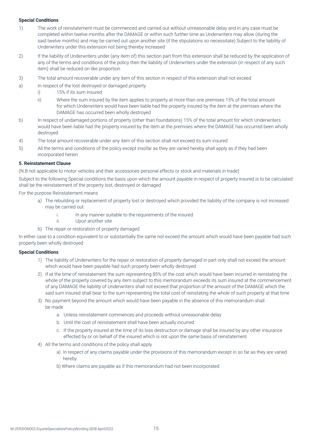### **Special Conditions**

- 1) The work of reinstatement must be commenced and carried out without unreasonable delay and in any case must be completed within twelve months after the DAMAGE or within such further time as Underwriters may allow (during the said twelve months) and may be carried out upon another site (if the stipulations so necessitate) Subject to the liability of Underwriters under this extension not being thereby increased
- 2) If the liability of Underwriters under (any item of) this section part from this extension shall be reduced by the application of any of the terms and conditions of the policy then the liability of Underwriters under the extension (in respect of any such item) shall be reduced on like proportion
- 3) The total amount recoverable under any item of this section in respect of this extension shall not exceed
- a) In respect of the lost destroyed or damaged property
	- i) 15% if its sum Insured
	- ii) Where the sum insured by the item applies to property at more than one premises 15% of the total amount for which Underwriters would have been liable had the property insured by the item at the premises where the DAMAGE has occurred been wholly destroyed
- b) In respect of undamaged portions of property (other than foundations) 15% of the total amount for which Underwriters would have been liable had the property insured by the item at the premises where the DAMAGE has occurred been wholly destroyed
- 4) The total amount recoverable under any item of this section shall not exceed its sum insured
- 5) All the terms and conditions of the policy except insofar as they are varied hereby shall apply as if they had been incorporated herein

#### **5. Reinstatement Clause**

(N.B not applicable to motor vehicles and their accessories personal effects or stock and materials in trade)

Subject to the following Special conditions the basis upon which the amount payable in respect of property insured is to be calculated shall be the reinstatement of the property lost, destroyed or damaged

For the purpose Reinstatement means

- a) The rebuilding or replacement of property lost or destroyed which provided the liability of the company is not increased may be carried out
	- i. In any manner suitable to the requirements of the insured
	- ii. Upon another site
- b) The repair or restoration of property damaged

In either case to a condition equivalent to or substantially the same not exceed the amount which would have been payable had such property been wholly destroyed

#### **Special Conditions**

- 1) The liability of Underwriters for the repair or restoration of property damaged in part only shall not exceed the amount which would have been payable had such property been wholly destroyed
- 2) If at the time of reinstatement the sum representing 85% of the cost which would have been incurred in reinstating the whole of the property covered by any item subject to this memorandum exceeds its sum insured at the commencement of any DAMAGE the liability of Underwriters shall not exceed that proportion of the amount of the DAMAGE which the said sum insured shall bear to the sum representing the total cost of reinstating the whole of such property at that time
- 3) No payment beyond the amount which would have been payable in the absence of this memorandum shall be made
	- a. Unless reinstatement commences and proceeds without unreasonable delay
	- b. Until the cost of reinstatement shall have been actually incurred
	- c. If the property insured at the time of its loss destruction or damage shall be insured by any other insurance effected by or on behalf of the insured which is not upon the same basis of reinstatement
- 4) All the terms and conditions of the policy shall apply
	- a) In respect of any claims payable under the provisions of this memorandum except in so far as they are varied hereby
	- b) Where claims are payable as if this memorandum had not been incorporated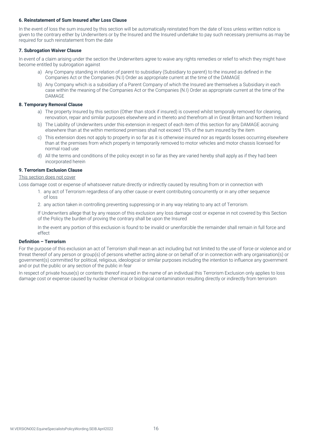#### **6. Reinstatement of Sum Insured after Loss Clause**

In the event of loss the sum insured by this section will be automatically reinstated from the date of loss unless written notice is given to the contrary either by Underwriters or by the Insured and the Insured undertake to pay such necessary premiums as may be required for such reinstatement from the date

#### **7. Subrogation Waiver Clause**

In event of a claim arising under the section the Underwriters agree to waive any rights remedies or relief to which they might have become entitled by subrogation against

- a) Any Company standing in relation of parent to subsidiary (Subsidiary to parent) to the insured as defined in the Companies Act or the Companies (N.I) Order as appropriate current at the time of the DAMAGE
- b) Any Company which is a subsidiary of a Parent Company of which the Insured are themselves a Subsidiary in each case within the meaning of the Companies Act or the Companies (N.I) Order as appropriate current at the time of the DAMAGE

#### **8. Temporary Removal Clause**

- a) The property Insured by this section (Other than stock if insured) is covered whilst temporally removed for cleaning, renovation, repair and similar purposes elsewhere and in thereto and therefrom all in Great Britain and Northern Ireland
- b) The Liability of Underwriters under this extension in respect of each item of this section for any DAMAGE accruing elsewhere than at the within mentioned premises shall not exceed 15% of the sum insured by the item
- c) This extension does not apply to property in so far as it is otherwise insured nor as regards losses occurring elsewhere than at the premises from which property in temporarily removed to motor vehicles and motor chassis licensed for normal road use
- d) All the terms and conditions of the policy except in so far as they are varied hereby shall apply as if they had been incorporated herein

#### **9. Terrorism Exclusion Clause**

This section does not cover

Loss damage cost or expense of whatsoever nature directly or indirectly caused by resulting from or in connection with

- 1. any act of Terrorism regardless of any other cause or event contributing concurrently or in any other sequence of loss
- 2. any action taken in controlling preventing suppressing or in any way relating to any act of Terrorism.

If Underwriters allege that by any reason of this exclusion any loss damage cost or expense in not covered by this Section of the Policy the burden of proving the contrary shall be upon the Insured

In the event any portion of this exclusion is found to be invalid or unenforcible the remainder shall remain in full force and effect

#### **Definition – Terrorism**

For the purpose of this exclusion an act of Terrorism shall mean an act including but not limited to the use of force or violence and or threat thereof of any person or group(s) of persons whether acting alone or on behalf of or in connection with any organisation(s) or government(s) committed for political, religious, ideological or similar purposes including the intention to influence any government and or put the public or any section of the public in fear

In respect of private house(s) or contents thereof insured in the name of an individual this Terrorism Exclusion only applies to loss damage cost or expense caused by nuclear chemical or biological contamination resulting directly or indirectly from terrorism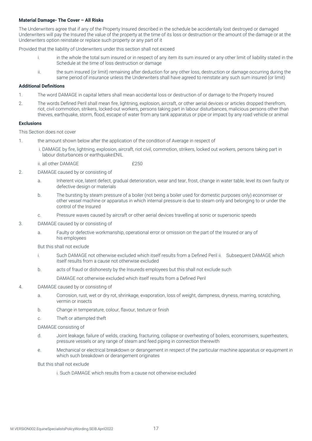#### **Material Damage- The Cover – All Risks**

The Underwriters agree that if any of the Property Insured described in the schedule be accidentally lost destroyed or damaged Underwriters will pay the Insured the value of the property at the time of its loss or destruction or the amount of the damage or at the Underwriters option reinstate or replace such property or any part of it

Provided that the liability of Underwriters under this section shall not exceed

- i. in the whole the total sum insured or in respect of any item its sum insured or any other limit of liability stated in the Schedule at the time of loss destruction or damage
- ii. the sum insured (or limit) remaining after deduction for any other loss, destruction or damage occurring during the same period of insurance unless the Underwriters shall have agreed to reinstate any such sum insured (or limit)

#### **Additional Definitions**

- 1. The word DAMAGE in capital letters shall mean accidental loss or destruction of or damage to the Property Insured
- 2. The words Defined Peril shall mean fire, lightning, explosion, aircraft, or other aerial devices or articles dropped therefrom, riot, civil commotion, strikers, locked-out workers, persons taking part in labour disturbances, malicious persons other than thieves, earthquake, storm, flood, escape of water from any tank apparatus or pipe or impact by any road vehicle or animal

#### **Exclusions**

This Section does not cover

- 1. the amount shown below after the application of the condition of Average in respect of
	- i. DAMAGE by fire, lightning, explosion, aircraft, riot civil, commotion, strikers, locked out workers, persons taking part in labour disturbances or earthquake £NIL

ii. all other DAMAGE  $\sqrt{250}$ 

# 2. DAMAGE caused by or consisting of

- a. Inherent vice, latent defect, gradual deterioration, wear and tear, frost, change in water table, level its own faulty or defective design or materials
- b. The bursting by steam pressure of a boiler (not being a boiler used for domestic purposes only) economiser or other vessel machine or apparatus in which internal pressure is due to steam only and belonging to or under the control of the Insured
- c. Pressure waves caused by aircraft or other aerial devices travelling at sonic or supersonic speeds
- 3. DAMAGE caused by or consisting of
	- a. Faulty or defective workmanship, operational error or omission on the part of the Insured or any of his employees

But this shall not exclude

- i. Such DAMAGE not otherwise excluded which itself results from a Defined Peril ii. Subsequent DAMAGE which itself results from a cause not otherwise excluded
- b. acts of fraud or dishonesty by the Insureds employees but this shall not exclude such

DAMAGE not otherwise excluded which itself results from a Defined Peril

#### 4. DAMAGE caused by or consisting of

- a. Corrosion, rust, wet or dry rot, shrinkage, evaporation, loss of weight, dampness, dryness, marring, scratching, vermin or insects
- b. Change in temperature, colour, flavour, texture or finish
- c. Theft or attempted theft

#### DAMAGE consisting of

- d. Joint leakage, failure of welds, cracking, fracturing, collapse or overheating of boilers, economisers, superheaters, pressure vessels or any range of steam and feed piping in connection therewith
- e. Mechanical or electrical breakdown or derangement in respect of the particular machine apparatus or equipment in which such breakdown or derangement originates

But this shall not exclude

i. Such DAMAGE which results from a cause not otherwise excluded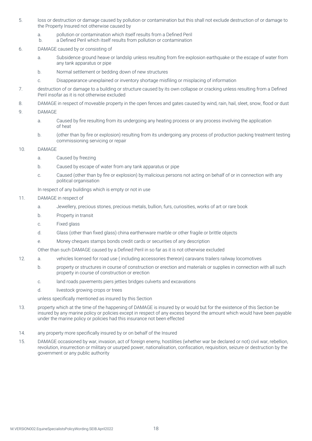- 5. loss or destruction or damage caused by pollution or contamination but this shall not exclude destruction of or damage to the Property Insured not otherwise caused by
	- a. pollution or contamination which itself results from a Defined Peril
	- b. a Defined Peril which itself results from pollution or contamination
- 6. DAMAGE caused by or consisting of
	- a. Subsidence ground heave or landslip unless resulting from fire explosion earthquake or the escape of water from any tank apparatus or pipe
	- b. Normal settlement or bedding down of new structures
	- c. Disappearance unexplained or inventory shortage misfiling or misplacing of information
- 7. destruction of or damage to a building or structure caused by its own collapse or cracking unless resulting from a Defined Peril insofar as it is not otherwise excluded
- 8. DAMAGE in respect of moveable property in the open fences and gates caused by wind, rain, hail, sleet, snow, flood or dust
- 9. DAMAGE
	- a. Caused by fire resulting from its undergoing any heating process or any process involving the application of heat
	- b. (other than by fire or explosion) resulting from its undergoing any process of production packing treatment testing commissioning servicing or repair
- 10. DAMAGE
	- a. Caused by freezing
	- b. Caused by escape of water from any tank apparatus or pipe
	- c. Caused (other than by fire or explosion) by malicious persons not acting on behalf of or in connection with any political organisation

In respect of any buildings which is empty or not in use

#### 11. DAMAGE in respect of

- a. Jewellery, precious stones, precious metals, bullion, furs, curiosities, works of art or rare book
- b. Property in transit
- c. Fixed glass
- d. Glass (other than fixed glass) china earthenware marble or other fragile or brittle objects
- e. Money cheques stamps bonds credit cards or securities of any description

Other than such DAMAGE caused by a Defined Peril in so far as it is not otherwise excluded

- 12. a. vehicles licensed for road use ( including accessories thereon) caravans trailers railway locomotives
	- b. property or structures in course of construction or erection and materials or supplies in connection with all such property in course of construction or erection
	- c. land roads pavements piers jetties bridges culverts and excavations
	- d. livestock growing crops or trees

unless specifically mentioned as insured by this Section

- 13. property which at the time of the happening of DAMAGE is insured by or would but for the existence of this Section be insured by any marine policy or policies except in respect of any excess beyond the amount which would have been payable under the marine policy or policies had this insurance not been effected
- 14. any property more specifically insured by or on behalf of the Insured
- 15. DAMAGE occasioned by war, invasion, act of foreign enemy, hostilities (whether war be declared or not) civil war, rebellion, revolution, insurrection or military or usurped power, nationalisation, confiscation, requisition, seizure or destruction by the government or any public authority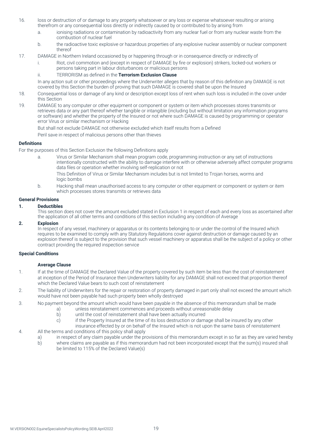- 16. loss or destruction of or damage to any property whatsoever or any loss or expense whatsoever resulting or arising therefrom or any consequential loss directly or indirectly caused by or contributed to by arising from
	- a. ionising radiations or contamination by radioactivity from any nuclear fuel or from any nuclear waste from the combustion of nuclear fuel
	- b. the radioactive toxic explosive or hazardous properties of any explosive nuclear assembly or nuclear component thereof
- 17. DAMAGE in Northern Ireland occasioned by or happening through or in consequence directly or indirectly of
	- i. Riot, civil commotion and (except in respect of DAMAGE by fire or explosion) strikers, locked-out workers or persons taking part in labour disturbances or malicious persons
	- ii. TERRORISM as defined in the **Terrorism Exclusion Clause**

In any action suit or other proceedings where the Underwriter alleges that by reason of this definition any DAMAGE is not covered by this Section the burden of proving that such DAMAGE is covered shall be upon the Insured

- 18. Consequential loss or damage of any kind or description except loss of rent when such loss is included in the cover under this Section
- 19. DAMAGE to any computer or other equipment or component or system or item which processes stores transmits or retrieves data or any part thereof whether tangible or intangible (including but without limitation any information programs or software) and whether the property of the Insured or not where such DAMAGE is caused by programming or operator error Virus or similar mechanism or Hacking

But shall not exclude DAMAGE not otherwise excluded which itself results from a Defined

Peril save in respect of malicious persons other than thieves

#### **Definitions**

For the purposes of this Section Exclusion the following Definitions apply

- a. Virus or Similar Mechanism shall mean program code, programming instruction or any set of instructions intentionally constructed with the ability to damage interfere with or otherwise adversely affect computer programs data files or operation whether involving self-replication or not This Definition of Virus or Similar Mechanism includes but is not limited to Trojan horses, worms and
	- logic bombs
- b. Hacking shall mean unauthorised access to any computer or other equipment or component or system or item which processes stores transmits or retrieves data

#### **General Provisions**

#### **1. Deductibles**

This section does not cover the amount excluded stated in Exclusion 1 in respect of each and every loss as ascertained after the application of all other terms and conditions of this section including any condition of Average

#### **2. Explosion**

In respect of any vessel, machinery or apparatus or its contents belonging to or under the control of the Insured which requires to be examined to comply with any Statutory Regulations cover against destruction or damage caused by an explosion thereof is subject to the provision that such vessel machinery or apparatus shall be the subject of a policy or other contract providing the required inspection service

#### **Special Conditions**

# **Average Clause**

- 1. If at the time of DAMAGE the Declared Value of the property covered by such item be less than the cost of reinstatement at inception of the Period of Insurance then Underwriters liability for any DAMAGE shall not exceed that proportion thereof which the Declared Value bears to such cost of reinstatement
- 2. The liability of Underwriters for the repair or restoration of property damaged in part only shall not exceed the amount which would have not been payable had such property been wholly destroyed
- 3. No payment beyond the amount which would have been payable in the absence of this memorandum shall be made
	- a) unless reinstatement commences and proceeds without unreasonable delay
		- b) until the cost of reinstatement shall have been actually incurred
		- c) if the Property Insured at the time of its loss destruction or damage shall be insured by any other insurance effected by or on behalf of the Insured which is not upon the same basis of reinstatement
- 4. All the terms and conditions of this policy shall apply
	- a) in respect of any claim payable under the provisions of this memorandum except in so far as they are varied hereby
		- b) where claims are payable as if this memorandum had not been incorporated except that the sum(s) insured shall be limited to 115% of the Declared Value(s)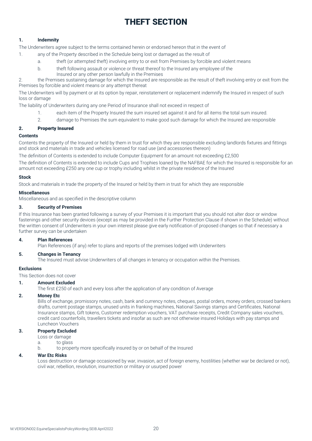# THEFT SECTION

# **1. Indemnity**

The Underwriters agree subject to the terms contained herein or endorsed hereon that in the event of

- 1. any of the Property described in the Schedule being lost or damaged as the result of
	- a. theft (or attempted theft) involving entry to or exit from Premises by forcible and violent means
	- b. theft following assault or violence or threat thereof to the Insured any employee of the
		- Insured or any other person lawfully in the Premises

2. the Premises sustaining damage for which the Insured are responsible as the result of theft involving entry or exit from the Premises by forcible and violent means or any attempt thereat

The Underwriters will by payment or at its option by repair, reinstatement or replacement indemnify the Insured in respect of such loss or damage

The liability of Underwriters during any one Period of Insurance shall not exceed in respect of

- 1. each item of the Property Insured the sum insured set against it and for all items the total sum insured.
- 2. damage to Premises the sum equivalent to make good such damage for which the Insured are responsible

# 2. Property Insured

# **Contents**

Contents the property of the Insured or held by them in trust for which they are responsible excluding landlords fixtures and fittings and stock and materials in trade and vehicles licensed for road use (and accessories thereon)

The definition of Contents is extended to include Computer Equipment for an amount not exceeding £2,500

The definition of Contents is extended to include Cups and Trophies loaned by the NAFBAE for which the Insured is responsible for an amount not exceeding £250 any one cup or trophy including whilst in the private residence of the Insured

# **Stock**

Stock and materials in trade the property of the Insured or held by them in trust for which they are responsible

#### **Miscellaneous**

Miscellaneous and as specified in the descriptive column

# **3. Security of Premises**

If this Insurance has been granted following a survey of your Premises it is important that you should not alter door or window fastenings and other security devices (except as may be provided in the Further Protection Clause if shown in the Schedule) without the written consent of Underwriters in your own interest please give early notification of proposed changes so that if necessary a further survey can be undertaken

### **4. Plan References**

Plan References (if any) refer to plans and reports of the premises lodged with Underwriters

# **5. Changes in Tenancy**

The Insured must advise Underwriters of all changes in tenancy or occupation within the Premises.

### **Exclusions**

This Section does not cover

#### **1. Amount Excluded**

The first £250 of each and every loss after the application of any condition of Average

#### **2. Money Etc**

Bills of exchange, promissory notes, cash, bank and currency notes, cheques, postal orders, money orders, crossed bankers drafts, current postage stamps, unused units in franking machines, National Savings stamps and Certificates, National Insurance stamps, Gift tokens, Customer redemption vouchers, VAT purchase receipts, Credit Company sales vouchers, credit card counterfoils, travellers tickets and insofar as such are not otherwise insured Holidays with pay stamps and Luncheon Vouchers

# **3. Property Excluded**

- Loss or damage
- a. to glass
- b. to property more specifically insured by or on behalf of the Insured

#### **4. War Etc Risks**

Loss destruction or damage occasioned by war, invasion, act of foreign enemy, hostilities (whether war be declared or not), civil war, rebellion, revolution, insurrection or military or usurped power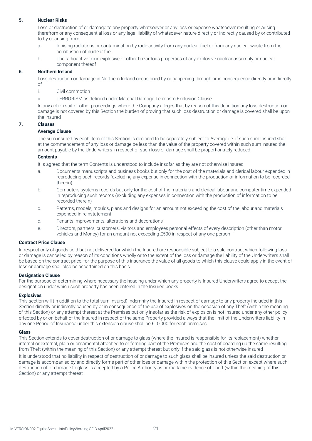### **5. Nuclear Risks**

Loss or destruction of or damage to any property whatsoever or any loss or expense whatsoever resulting or arising therefrom or any consequential loss or any legal liability of whatsoever nature directly or indirectly caused by or contributed to by or arising from

- a. Ionising radiations or contamination by radioactivity from any nuclear fuel or from any nuclear waste from the combustion of nuclear fuel
- b. The radioactive toxic explosive or other hazardous properties of any explosive nuclear assembly or nuclear component thereof

#### **6. Northern Ireland**

Loss destruction or damage in Northern Ireland occasioned by or happening through or in consequence directly or indirectly of

- i. Civil commotion
- ii. TERRORISM as defined under Material Damage Terrorism Exclusion Clause

In any action suit or other proceedings where the Company alleges that by reason of this definition any loss destruction or damage is not covered by this Section the burden of proving that such loss destruction or damage is covered shall be upon the Insured

#### **7. Clauses**

#### **Average Clause**

The sum insured by each item of this Section is declared to be separately subject to Average i.e. if such sum insured shall at the commencement of any loss or damage be less than the value of the property covered within such sum insured the amount payable by the Underwriters in respect of such loss or damage shall be proportionately reduced

#### **Contents**

It is agreed that the term Contents is understood to include insofar as they are not otherwise insured

- a. Documents manuscripts and business books but only for the cost of the materials and clerical labour expended in reproducing such records (excluding any expense in connection with the production of information to be recorded therein)
- b. Computers systems records but only for the cost of the materials and clerical labour and computer time expended in reproducing such records (excluding any expenses in connection with the production of information to be recorded therein)
- c. Patterns, models, moulds, plans and designs for an amount not exceeding the cost of the labour and materials expended in reinstatement
- d. Tenants improvements, alterations and decorations
- e. Directors, partners, customers, visitors and employees personal effects of every description (other than motor vehicles and Money) for an amount not exceeding £500 in respect of any one person

#### **Contract Price Clause**

In respect only of goods sold but not delivered for which the Insured are responsible subject to a sale contract which following loss or damage is cancelled by reason of its conditions wholly or to the extent of the loss or damage the liability of the Underwriters shall be based on the contract price, for the purpose of this insurance the value of all goods to which this clause could apply in the event of loss or damage shall also be ascertained on this basis

#### **Designation Clause**

For the purpose of determining where necessary the heading under which any property is Insured Underwriters agree to accept the designation under which such property has been entered in the Insured books

#### **Explosives**

This section will (in addition to the total sum insured) indemnify the Insured in respect of damage to any property included in this Section directly or indirectly caused by or in consequence of the use of explosives on the occasion of any Theft (within the meaning of this Section) or any attempt thereat at the Premises but only insofar as the risk of explosion is not insured under any other policy effected by or on behalf of the Insured in respect of the same Property provided always that the limit of the Underwriters liability in any one Period of Insurance under this extension clause shall be £10,000 for each premises

#### **Glass**

This Section extends to cover destruction of or damage to glass (where the Insured is responsible for its replacement) whether internal or external, plain or ornamental attached to or forming part of the Premises and the cost of boarding up the same resulting from Theft (within the meaning of this Section) or any attempt thereat but only if the said glass is not otherwise insured

It is understood that no liability in respect of destruction of or damage to such glass shall be insured unless the said destruction or damage is accompanied by and directly forms part of other loss or damage within the protection of this Section except where such destruction of or damage to glass is accepted by a Police Authority as prima facie evidence of Theft (within the meaning of this Section) or any attempt thereat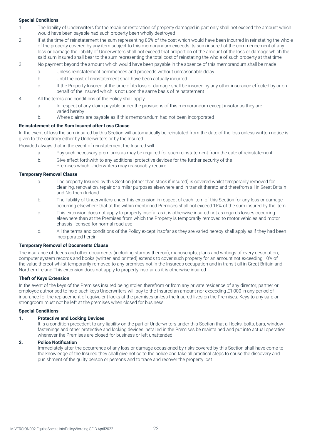# **Special Conditions**

- 1. The liability of Underwriters for the repair or restoration of property damaged in part only shall not exceed the amount which would have been payable had such property been wholly destroyed
- 2. if at the time of reinstatement the sum representing 85% of the cost which would have been incurred in reinstating the whole of the property covered by any item subject to this memorandum exceeds its sum insured at the commencement of any loss or damage the liability of Underwriters shall not exceed that proportion of the amount of the loss or damage which the said sum insured shall bear to the sum representing the total cost of reinstating the whole of such property at that time
- 3. No payment beyond the amount which would have been payable in the absence of this memorandum shall be made
	- a. Unless reinstatement commences and proceeds without unreasonable delay
	- b. Until the cost of reinstatement shall have been actually incurred
	- c. If the Property Insured at the time of its loss or damage shall be insured by any other insurance effected by or on behalf of the Insured which is not upon the same basis of reinstatement
- 4. All the terms and conditions of the Policy shall apply
	- a. In respect of any claim payable under the provisions of this memorandum except insofar as they are varied hereby
	- b. Where claims are payable as if this memorandum had not been incorporated

# **Reinstatement of the Sum Insured after Loss Clause**

In the event of loss the sum insured by this Section will automatically be reinstated from the date of the loss unless written notice is given to the contrary either by Underwriters or by the Insured

Provided always that in the event of reinstatement the Insured will

- a. Pay such necessary premiums as may be required for such reinstatement from the date of reinstatement
- b. Give effect forthwith to any additional protective devices for the further security of the
	- Premises which Underwriters may reasonably require

#### **Temporary Removal Clause**

- a. The property Insured by this Section (other than stock if insured) is covered whilst temporarily removed for cleaning, renovation, repair or similar purposes elsewhere and in transit thereto and therefrom all in Great Britain and Northern Ireland
- b. The liability of Underwriters under this extension in respect of each item of this Section for any loss or damage occurring elsewhere that at the within mentioned Premises shall not exceed 15% of the sum insured by the item
- c. This extension does not apply to property insofar as it is otherwise insured not as regards losses occurring elsewhere than at the Premises from which the Property is temporarily removed to motor vehicles and motor chassis licensed for normal road use
- d. All the terms and conditions of the Policy except insofar as they are varied hereby shall apply as if they had been incorporated herein

# **Temporary Removal of Documents Clause**

The insurance of deeds and other documents (including stamps thereon), manuscripts, plans and writings of every description, computer system records and books (written and printed) extends to cover such property for an amount not exceeding 10% of the value thereof whilst temporarily removed to any premises not in the Insureds occupation and in transit all in Great Britain and Northern Ireland This extension does not apply to property insofar as it is otherwise insured

#### **Theft of Keys Extension**

In the event of the keys of the Premises insured being stolen therefrom or from any private residence of any director, partner or employee authorised to hold such keys Underwriters will pay to the Insured an amount nor exceeding £1,000 in any period of insurance for the replacement of equivalent locks at the premises unless the Insured lives on the Premises. Keys to any safe or strongroom must not be left at the premises when closed for business

#### **Special Conditions**

#### **1. Protective and Locking Devices**

It is a condition precedent to any liability on the part of Underwriters under this Section that all locks, bolts, bars, window fastenings and other protective and locking devices installed in the Premises be maintained and put into actual operation whenever the Premises are closed for business or left unattended

# **2. Police Notification**

Immediately after the occurrence of any loss or damage occasioned by risks covered by this Section shall have come to the knowledge of the Insured they shall give notice to the police and take all practical steps to cause the discovery and punishment of the guilty person or persons and to trace and recover the property lost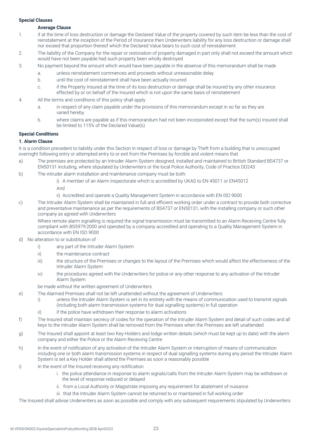# **Special Clauses**

#### **Average Clause**

- 1. if at the time of loss destruction or damage the Declared Value of the property covered by such item be less than the cost of reinstatement at the inception of the Period of Insurance then Underwriters liability for any loss destruction or damage shall nor exceed that proportion thereof which the Declared Value bears to such cost of reinstatement
- 2. The liability of the Company for the repair or restoration of property damaged in part only shall not exceed the amount which would have not been payable had such property been wholly destroyed
- 3. No payment beyond the amount which would have been payable in the absence of this memorandum shall be made
	- a. unless reinstatement commences and proceeds without unreasonable delay
	- b. until the cost of reinstatement shall have been actually incurred
	- c. if the Property Insured at the time of its loss destruction or damage shall be insured by any other insurance effected by or on behalf of the Insured which is not upon the same basis of reinstatement
- 4. All the terms and conditions of this policy shall apply
	- a. in respect of any claim payable under the provisions of this memorandum except in so far as they are varied hereby
	- b. where claims are payable as if this memorandum had not been incorporated except that the sum(s) insured shall be limited to 115% of the Declared Value(s)

# **Special Conditions**

#### **1. Alarm Clause**

It is a condition precedent to liability under this Section in respect of loss or damage by Theft from a building that is unoccupied overnight following entry or attempted entry to or exit from the Premises by forcible and violent means that

- a) The premises are protected by an Intruder Alarm System designed, installed and maintained to British Standard BS4737 or EN50131 including, where stipulated by Underwriters or the local Police Authority, Code of Practice DD243
- b) The intruder alarm installation and maintenance company must be both:
	- i) A member of an Alarm Inspectorate which is accredited by UKAS to EN 45011 or EN45012

And

- ii) Accredited and operate a Quality Management System in accordance with EN ISO 9000
- c) The Intruder Alarm System shall be maintained in full and efficient working order under a contract to provide both corrective and preventative maintenance as per the requirements of BS4737 or EN50131, with the installing company or such other company as agreed with Underwriters

Where remote alarm signalling is required the signal transmission must be transmitted to an Alarm Receiving Centre fully compliant with BS5979:2000 and operated by a company accredited and operating to a Quality Management System in accordance with EN ISO 9000

- d) No alteration to or substitution of
	- i) any part of the Intruder Alarm System
	- ii) the maintenance contract
	- iii) the structure of the Premises or changes to the layout of the Premises which would affect the effectiveness of the Intruder Alarm System
	- iv) the procedures agreed with the Underwriters for police or any other response to any activation of the Intruder Alarm System

be made without the written agreement of Underwriters

- e) The Alarmed Premises shall not be left unattended without the agreement of Underwriters
	- i) unless the Intruder Alarm System is set in its entirety with the means of communication used to transmit signals (including both alarm transmission systems for dual signalling systems) in full operation
	- ii) ii) if the police have withdrawn their response to alarm activations
- f) The Insured shall maintain secrecy of codes for the operation of the Intruder Alarm System and detail of such codes and all keys to the Intruder Alarm System shall be removed from the Premises when the Premises are left unattended
- g) The Insured shall appoint at least two Key Holders and lodge written details (which must be kept up to date) with the alarm company and either the Police or the Alarm Receiving Centre
- h) In the event of notification of any activation of the Intruder Alarm System or interruption of means of communication including one or both alarm transmission systems in respect of dual signalling systems during any period the Intruder Alarm System is set a Key Holder shall attend the Premises as soon a reasonably possible
- i) In the event of the Insured receiving any notification
	- i. the police attendance in response to alarm signals/calls from the Intruder Alarm System may be withdrawn or the level of response reduced or delayed
	- ii. from a Local Authority or Magistrate imposing any requirement for abatement of nuisance
	- iii. that the Intruder Alarm System cannot be returned to or maintained in full working order

The Insured shall advise Underwriters as soon as possible and comply with any subsequent requirements stipulated by Underwriters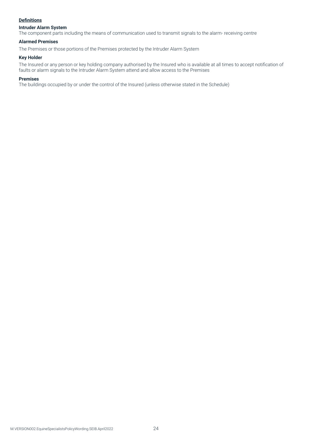# **Definitions**

# **Intruder Alarm System**

The component parts including the means of communication used to transmit signals to the alarm- receiving centre

# **Alarmed Premises**

The Premises or those portions of the Premises protected by the Intruder Alarm System

#### **Key Holder**

The Insured or any person or key holding company authorised by the Insured who is available at all times to accept notification of faults or alarm signals to the Intruder Alarm System attend and allow access to the Premises

#### **Premises**

The buildings occupied by or under the control of the Insured (unless otherwise stated in the Schedule)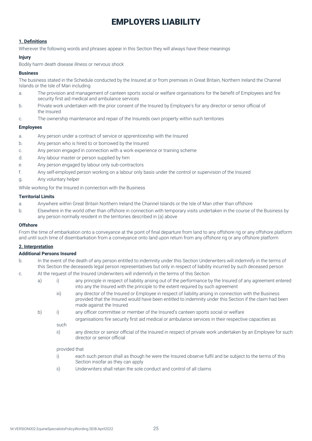# EMPLOYERS LIABILITY

# **1. Definitions**

Wherever the following words and phrases appear in this Section they will always have these meanings

#### **Injury**

Bodily harm death disease illness or nervous shock

# **Business**

The business stated in the Schedule conducted by the Insured at or from premises in Great Britain, Northern Ireland the Channel Islands or the Isle of Man including

- a. The provision and management of canteen sports social or welfare organisations for the benefit of Employees and fire security first aid medical and ambulance services
- b. Private work undertaken with the prior consent of the Insured by Employee's for any director or senior official of the Insured
- c. The ownership maintenance and repair of the Insureds own property within such territories

#### **Employees**

- a. Any person under a contract of service or apprenticeship with the Insured
- b. Any person who is hired to or borrowed by the Insured
- c. Any person engaged in connection with a work experience or training scheme
- d. Any labour master or person supplied by him
- e. Any person engaged by labour only sub-contractors
- f. Any self-employed person working on a labour only basis under the control or supervision of the Insured
- g. Any voluntary helper

While working for the Insured in connection with the Business

#### **Territorial Limits**

- a. Anywhere within Great Britain Northern Ireland the Channel Islands or the Isle of Man other than offshore
- b. Elsewhere in the world other than offshore in connection with temporary visits undertaken in the course of the Business by any person normally resident in the territories described in (a) above

#### **Offshore**

From the time of embarkation onto a conveyance at the point of final departure from land to any offshore rig or any offshore platform and until such time of disembarkation from a conveyance onto land upon return from any offshore rig or any offshore platform

#### **2. Interpretation**

### **Additional Persons Insured**

- b. In the event of the death of any person entitled to indemnity under this Section Underwriters will indemnify in the terms of this Section the deceaseds legal person representatives but only in respect of liability incurred by such deceased person
- c. At the request of the Insured Underwriters will indemnify in the terms of this Section
	- a) i) any principle in respect of liability arising out of the performance by the Insured of any agreement entered into any the Insured with the principle to the extent required by such agreement
		- iii) any director of the Insured or Employee in respect of liability arising in connection with the Business provided that the Insured would have been entitled to indemnity under this Section if the claim had been made against the Insured
	- b) i) any officer committee or member of the Insured's canteen sports social or welfare
		- organisations fire security first aid medical or ambulance services in their respective capacities as such
		- ii) any director or senior official of the Insured in respect of private work undertaken by an Employee for such director or senior official

provided that

- i) each such person shall as though he were the Insured observe fulfil and be subject to the terms of this Section insofar as they can apply
- ii) Underwriters shall retain the sole conduct and control of all claims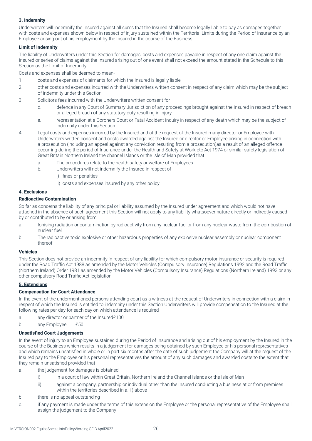# **3. Indemnity**

Underwriters will indemnify the Insured against all sums that the Insured shall become legally liable to pay as damages together with costs and expenses shown below in respect of injury sustained within the Territorial Limits during the Period of Insurance by an Employee arising out of his employment by the Insured in the course of the Business

# **Limit of Indemnity**

The liability of Underwriters under this Section for damages, costs and expenses payable in respect of any one claim against the Insured or series of claims against the Insured arising out of one event shall not exceed the amount stated in the Schedule to this Section as the Limit of Indemnity

Costs and expenses shall be deemed to mean-

- 1. costs and expenses of claimants for which the Insured is legally liable
- 2. other costs and expenses incurred with the Underwriters written consent in respect of any claim which may be the subject of indemnity under this Section
- 3. Solicitors fees incurred with the Underwriters written consent for
	- d. defence in any Court of Summary Jurisdiction of any proceedings brought against the Insured in respect of breach or alleged breach of any statutory duty resulting in injury
	- e. representation at a Coroners Court or Fatal Accident Inquiry in respect of any death which may be the subject of indemnity under this Section
- 4. Legal costs and expenses incurred by the Insured and at the request of the Insured many director or Employee with Underwriters written consent and costs awarded against the Insured or director or Employee arising in connection with a prosecution (including an appeal against any conviction resulting from a prosecution)as a result of an alleged offence occurring during the period of Insurance under the Health and Safety at Work etc Act 1974 or similar safety legislation of Great Britain Northern Ireland the channel Islands or the Isle of Man provided that
	- a. The procedures relate to the health safety or welfare of Employees
	- b. Underwriters will not indemnify the Insured in respect of
		- i) fines or penalties
		- ii) costs and expenses insured by any other policy

# **4. Exclusions**

#### **Radioactive Contamination**

So far as concerns the liability of any principal or liability assumed by the Insured under agreement and which would not have attached in the absence of such agreement this Section will not apply to any liability whatsoever nature directly or indirectly caused by or contributed to by or arising from

- a. Ionising radiation or contamination by radioactivity from any nuclear fuel or from any nuclear waste from the combustion of nuclear fuel
- b. The radioactive toxic explosive or other hazardous properties of any explosive nuclear assembly or nuclear component thereof

# **Vehicles**

This Section does not provide an indemnity in respect of any liability for which compulsory motor insurance or security is required under the Road Traffic Act 1988 as amended by the Motor Vehicles (Compulsory Insurance) Regulations 1992 and the Road Traffic (Northern Ireland) Order 1981 as amended by the Motor Vehicles (Compulsory Insurance) Regulations (Northern Ireland) 1993 or any other compulsory Road Traffic Act legislation

# **5. Extensions**

#### **Compensation for Court Attendance**

In the event of the undermentioned persons attending court as a witness at the request of Underwriters in connection with a claim in respect of which the Insured is entitled to indemnity under this Section Underwriters will provide compensation to the Insured at the following rates per day for each day on which attendance is required

- a. any director or partner of the Insured£100
- b. any Employee £50

#### **Unsatisfied Court Judgements**

In the event of injury to an Employee sustained during the Period of Insurance and arising out of his employment by the Insured in the course of the Business which results in a judgement for damages being obtained by such Employee or his personal representatives and which remains unsatisfied in whole or in part six months after the date of such judgement the Company will at the request of the Insured pay to the Employee or his personal representatives the amount of any such damages and awarded costs to the extent that they remain unsatisfied provided that

- a. the judgement for damages is obtained
	- i) in a court of law within Great Britain, Northern Ireland the Channel Islands or the Isle of Man
	- ii) against a company, partnership or individual other than the Insured conducting a business at or from premises within the territories described in a. i ) above
- b. there is no appeal outstanding
- c. if any payment is made under the terms of this extension the Employee or the personal representative of the Employee shall assign the judgement to the Company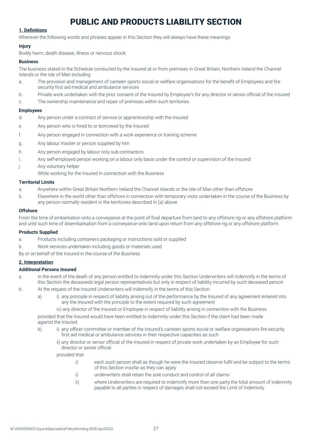# PUBLIC AND PRODUCTS LIABILITY SECTION

# **1. Definitions**

Wherever the following words and phrases appear in this Section they will always have these meanings

# **Injury**

Bodily harm, death disease, illness or nervous shock

# **Business**

The business stated in the Schedule conducted by the Insured at or from premises in Great Britain, Northern Ireland the Channel Islands or the Isle of Man including

- a. The provision and management of canteen sports social or welfare organisations for the benefit of Employees and fire security first aid medical and ambulance services
- b. Private work undertaken with the prior consent of the Insured by Employee's for any director or senior official of the Insured
- c. The ownership maintenance and repair of premises within such territories

# **Employees**

- d. Any person under a contract of service or apprenticeship with the Insured
- e. Any person who is hired to or borrowed by the Insured
- f. Any person engaged in connection with a work experience or training scheme
- g. Any labour master or person supplied by him
- h. Any person engaged by labour only sub-contractors
- i. Any self-employed person working on a labour only basis under the control or supervision of the Insured
- j. Any voluntary helper
- While working for the Insured in connection with the Business

# **Territorial Limits**

- a. Anywhere within Great Britain Northern Ireland the Channel Islands or the Isle of Man other than offshore
- b. Elsewhere in the world other than offshore in connection with temporary visits undertaken in the course of the Business by any person normally resident in the territories described in (a) above

# **Offshore**

From the time of embarkation onto a conveyance at the point of final departure from land to any offshore rig or any offshore platform and until such time of disembarkation from a conveyance onto land upon return from any offshore rig or any offshore platform

#### **Products Supplied**

- a. Products including containers packaging or instructions sold or supplied
- b. Work services undertaken including goods or materials used
- By or on behalf of the Insured in the course of the Business

# **2. Interpretation**

#### **Additional Persons Insured**

- a. In the event of the death of any person entitled to indemnity under this Section Underwriters will indemnify in the terms of this Section the deceaseds legal person representatives but only in respect of liability incurred by such deceased person
- b. At the request of the Insured Underwriters will indemnify in the terms of this Section
	- a) i) any principle in respect of liability arising out of the performance by the Insured of any agreement entered into any the Insured with the principle to the extent required by such agreement
		- iv) any director of the Insured or Employee in respect of liability arising in connection with the Business

provided that the Insured would have been entitled to indemnity under this Section if the claim had been made against the Insured

- b) i) any officer committee or member of the Insured's canteen sports social or welfare organisations fire security first aid medical or ambulance services in their respective capacities as such
	- ii) any director or senior official of the Insured in respect of private work undertaken by an Employee for such director or senior official

provided that

- i) each such person shall as though he were the Insured observe fulfil and be subject to the terms of this Section insofar as they can apply
- i) underwriters shall retain the sole conduct and control of all claims
- ii) where Underwriters are required to indemnify more than one party the total amount of indemnity payable to all parties in respect of damages shall not exceed the Limit of Indemnity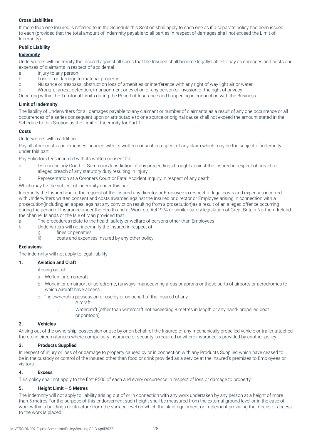# **Cross Liabilities**

If more than one Insured is referred to in the Schedule this Section shall apply to each one as if a separate policy had been issued to each (provided that the total amount of indemnity payable to all parties in respect of damages shall not exceed the Limit of Indemnity)

# **Public Liability**

#### **Indemnity**

Underwriters will indemnify the Insured against all sums that the Insured shall become legally liable to pay as damages and costs and expenses of claimants in respect of accidental

- a. Injury to any person
- b. Loss of or damage to material property
- c. Nuisance or trespass, obstruction loss of amenities or interference with any right of way light air or water

d. Wrongful arrest, detention, imprisonment or eviction of any person or invasion of the right of privacy

Occurring within the Territorial Limits during the Period of Insurance and happening in connection with the Business

#### **Limit of Indemnity**

The liability of Underwriters for all damages payable to any claimant or number of claimants as a result of any one occurrence or all occurrences of a series consequent upon or attributable to one source or original cause shall not exceed the amount stated in the Schedule to this Section as the Limit of Indemnity for Part 1

#### **Costs**

#### Underwriters will in addition

Pay all other costs and expenses incurred with its written consent in respect of any claim which may be the subject of indemnity under this part

Pay Solicitors fees incurred with its written consent for

- a. Defence in any Court of Summary Jurisdiction of any proceedings brought against the Insured in respect of breach or alleged breach of any statutory duty resulting in Injury
- b. Representation at a Coroners Court or Fatal Accident Inquiry in respect of any death

#### Which may be the subject of indemnity under this part

Indemnify the Insured and at the request of the Insured any director or Employee in respect of legal costs and expenses incurred with Underwriters written consent and costs awarded against the Insured or director or Employee arising in connection with a prosecution(including an appeal against any conviction resulting from a prosecution)as a result of an alleged offence occurring during the period of Insurance under the Health and at Work etc Act1974 or similar safety legislation of Great Britain Northern Ireland the channel Islands or the Isle of Man provided that

- a. The procedures relate to the health safety or welfare of persons other than Employees
- b. Underwriters will not indemnify the Insured in respect of
	- i) fines or penalties
	- ii) costs and expenses insured by any other policy

#### **Exclusions**

The indemnity will not apply to legal liability

#### **1. Aviation and Craft**

Arising out of

- a. Work in or on aircraft
- b. Work in or on airport or aerodrome, runways, manoeuvring areas or aprons or those parts of airports or aerodromes to which aircraft have access
- c. The ownership possession or use by or on behalf of the Insured of any
	- i. Aircraft
	- ii. Watercraft (other than watercraft not exceeding 8 metres in length or any hand- propelled boat or pontoon)

#### **2. Vehicles**

Arising out of the ownership, possession or use by or on behalf of the Insured of any mechanically propelled vehicle or trailer attached thereto in circumstances where compulsory insurance or security is required or where insurance is provided by another policy

#### **3. Products Supplied**

In respect of injury or loss of or damage to property caused by or in connection with any Products Supplied which have ceased to be in the custody or control of the Insured other than food or drink provided as a service at the insured's premises to Employees or visitors

#### **4. Excess**

This policy shall not apply to the first £500 of each and every occurrence in respect of loss or damage to property

# **5. Height Limit – 5 Metres**

The indemnity will not apply to liability arising out of or in connection with any work undertaken by any person at a height of more than 5 metres For the purpose of this endorsement such height shall be measured from the external ground level or in the case of work within a buildings or structure from the surface level on which the plant equipment or implement providing the means of access to the work is placed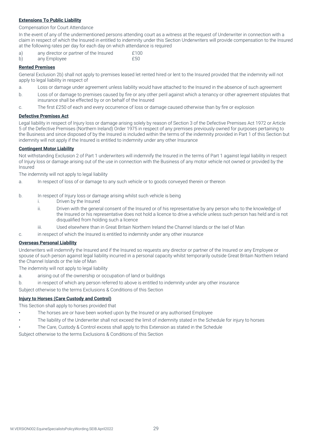# **Extensions To Public Liability**

#### Compensation for Court Attendance

In the event of any of the undermentioned persons attending court as a witness at the request of Underwriter in connection with a claim in respect of which the Insured in entitled to indemnity under this Section Underwriters will provide compensation to the Insured at the following rates per day for each day on which attendance is required

a) any director or partner of the Insured E100 b) any Employee **E50** 

#### **Rented Premises**

General Exclusion 2b) shall not apply to premises leased let rented hired or lent to the Insured provided that the indemnity will not apply to legal liability in respect of

- a. Loss or damage under agreement unless liability would have attached to the Insured in the absence of such agreement
- b. Loss of or damage to premises caused by fire or any other peril against which a tenancy or other agreement stipulates that insurance shall be effected by or on behalf of the Insured
- c. The first £250 of each and every occurrence of loss or damage caused otherwise than by fire or explosion

#### **Defective Premises Act**

Legal liability in respect of Injury loss or damage arising solely by reason of Section 3 of the Defective Premises Act 1972 or Article 5 of the Defective Premises (Northern Ireland) Order 1975 in respect of any premises previously owned for purposes pertaining to the Business and since disposed of by the Insured is included within the terms of the indemnity provided in Part 1 of this Section but indemnity will not apply if the Insured is entitled to indemnity under any other Insurance

# **Contingent Motor Liability**

Not withstanding Exclusion 2 of Part 1 underwriters will indemnify the Insured in the terms of Part 1 against legal liability in respect of Injury loss or damage arising out of the use in connection with the Business of any motor vehicle not owned or provided by the Insured

The indemnity will not apply to legal liability

- a. In respect of loss of or damage to any such vehicle or to goods conveyed therein or thereon
- b. In respect of Injury loss or damage arising whilst such vehicle is being
	- i. Driven by the Insured
	- ii. Driven with the general consent of the Insured or of his representative by any person who to the knowledge of the Insured or his representative does not hold a licence to drive a vehicle unless such person has held and is not disqualified from holding such a licence
	- iii. Used elsewhere than in Great Britain Northern Ireland the Channel Islands or the Isel of Man
- c. in respect of which the Insured is entitled to indemnity under any other insurance

#### **Overseas Personal Liability**

Underwriters will indemnify the Insured and if the Insured so requests any director or partner of the Insured or any Employee or spouse of such person against legal liability incurred in a personal capacity whilst temporarily outside Great Britain Northern Ireland the Channel Islands or the Isle of Man

The indemnity will not apply to legal liability

- a. arising out of the ownership or occupation of land or buildings
- b. in respect of which any person referred to above is entitled to indemnity under any other insurance

Subject otherwise to the terms Exclusions & Conditions of this Section

#### **Injury to Horses (Care Custody and Control)**

This Section shall apply to horses provided that

- The horses are or have been worked upon by the Insured or any authorised Employee
- The liability of the Underwriter shall not exceed the limit of indemnity stated in the Schedule for injury to horses
- The Care, Custody & Control excess shall apply to this Extension as stated in the Schedule

Subject otherwise to the terms Exclusions & Conditions of this Section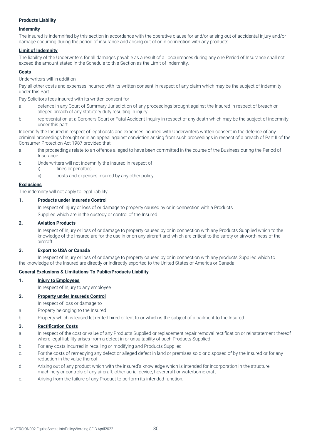# **Products Liability**

#### **Indemnity**

The insured is indemnified by this section in accordance with the operative clause for and/or arising out of accidental injury and/or damage occurring during the period of insurance and arising out of or in connection with any products.

#### **Limit of Indemnity**

The liability of the Underwriters for all damages payable as a result of all occurrences during any one Period of Insurance shall not exceed the amount stated in the Schedule to this Section as the Limit of Indemnity.

# **Costs**

Underwriters will in addition

Pay all other costs and expenses incurred with its written consent in respect of any claim which may be the subject of indemnity under this Part

Pay Solicitors fees insured with its written consent for

- a. defence in any Court of Summary Jurisdiction of any proceedings brought against the Insured in respect of breach or alleged breach of any statutory duty resulting in injury
- b. representation at a Coroners Court or Fatal Accident Inquiry in respect of any death which may be the subject of indemnity under this part

Indemnify the Insured in respect of legal costs and expenses incurred with Underwriters written consent in the defence of any criminal proceedings brought or in an appeal against conviction arising from such proceedings in respect of a breach of Part II of the Consumer Protection Act 1987 provided that

- a. the proceedings relate to an offence alleged to have been committed in the course of the Business during the Period of Insurance
- b. Underwriters will not indemnify the insured in respect of
	- i) fines or penalties
	- ii) costs and expenses insured by any other policy

#### **Exclusions**

The indemnity will not apply to legal liability

# **1. Products under Insureds Control**

In respect of injury or loss of or damage to property caused by or in connection with a Products Supplied which are in the custody or control of the Insured

#### **2. Aviation Products**

In respect of Injury or loss of or damage to property caused by or in connection with any Products Supplied which to the knowledge of the Insured are for the use in or on any aircraft and which are critical to the safety or airworthiness of the aircraft

#### **3. Export to USA or Canada**

In respect of Injury or loss of or damage to property caused by or in connection with any products Supplied which to the knowledge of the Insured are directly or indirectly exported to the United States of America or Canada

#### **General Exclusions & Limitations To Public/Products Liability**

#### **1. Injury to Employees**

In respect of Injury to any employee

# **2. Property under Insureds Control**

In respect of loss or damage to

- a. Property belonging to the Insured
- b. Property which is leased let rented hired or lent to or which is the subject of a bailment to the Insured

#### **3. Rectification Costs**

- a. In respect of the cost or value of any Products Supplied or replacement repair removal rectification or reinstatement thereof where legal liability arises from a defect in or unsuitability of such Products Supplied
- b. For any costs incurred in recalling or modifying and Products Supplied
- c. For the costs of remedying any defect or alleged defect in land or premises sold or disposed of by the Insured or for any reduction in the value thereof
- d. Arising out of any product which with the insured's knowledge which is intended for incorporation in the structure, machinery or controls of any aircraft, other aerial device, hovercraft or waterborne craft
- e. Arising from the failure of any Product to perform its intended function.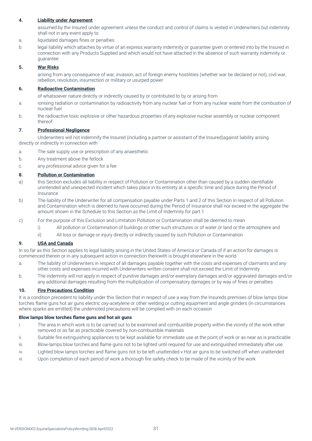# **4. Liability under Agreement**

assumed by the Insured under agreement unless the conduct and control of claims is vested in Underwriters but indemnity shall not in any event apply to

- a. liquidated damages fines or penalties
- b. legal liability which attaches by virtue of an express warranty indemnity or guarantee given or entered into by the Insured in connection with any Products Supplied and which would not have attached in the absence of such warranty indemnity or guarantee

#### **5. War Risks**

arising from any consequence of war, invasion, act of foreign enemy hostilities (whether war be declared or not), civil war, rebellion, revolution, insurrection or military or usurped power

#### **6. Radioactive Contamination**

of whatsoever nature directly or indirectly caused by or contributed to by or arising from

- a. ionising radiation or contamination by radioactivity from any nuclear fuel or from any nuclear waste from the combustion of nuclear fuel
- b. the radioactive toxic explosive or other hazardous properties of any explosive nuclear assembly or nuclear component thereof

#### **7. Professional Negligence**

Underwriters will not indemnify the Insured (including a partner or assistant of the Insured)against liability arising directly or indirectly in connection with

- a. The sale supply use or prescription of any anaesthetic
- b. Any treatment above the fetlock
- c. any professional advice given for a fee

#### **8. Pollution or Contamination**

- a) this Section excludes all liability in respect of Pollution or Contamination other than caused by a sudden identifiable unintended and unexpected incident which takes place in its entirety at a specific time and place during the Period of **Insurance**
- b) The liability of the Underwriter for all compensation payable under Parts 1 and 2 of this Section in respect of all Pollution and Contamination which is deemed to have occurred during the Period of Insurance shall nor exceed in the aggregate the amount shown in the Schedule to this Section as the Limit of Indemnity for part 1
- c) For the purpose of this Exclusion and Limitation Pollution or Contamination shall be deemed to mean
	- i) All pollution or Contamination of buildings or other such structures or of water or land or the atmosphere and
	- ii) All loss or damage or injury directly or indirectly caused by such Pollution or Contamination

#### **9. USA and Canada**

In so far as this Section applies to legal liability arising in the United States of America or Canada of if an action for damages is commenced therein or in any subsequent action in connection therewith is brought elsewhere in the world

- a. The liability of Underwriters in respect of all damages payable together with the costs and expenses of claimants and any other costs and expenses incurred with Underwriters written consent shall not exceed the Limit of Indemnity
- b. The indemnity will not apply in respect of punitive damages and/or exemplary damages and/or aggravated damages and/or any additional damages resulting from the multiplication of compensatory damages or by way of fines or penalties

#### **10. Fire Precautions Condition**

It is a condition precedent to liability under this Section that in respect of use a way from the Insureds premises of blow lamps blow torches flame guns hot air guns electric oxy-acetylene or other welding or cutting equipment and angle grinders (in circumstances where sparks are emitted) the undernoted precautions will be complied with on each occasion

#### **Blow lamps blow torches flame guns and hot air guns**

- i. The area in which work is to be carried out to be examined and combustible property within the vicinity of the work either removed or as far as practicable covered by non-combustible materials
- ii. Suitable fire extinguishing appliances to be kept available for immediate use at the point of work or as near as is practicable
- iii. Blow-lamps blow torches and flame guns not to be lighted until required for use and extinguished immediately after use
- iv. Lighted blow lamps torches and flame guns not to be left unattended v.Hot air guns to be switched off when unattended
- vi. Upon completion of each period of work a thorough fire safety check to be made of the vicinity of the work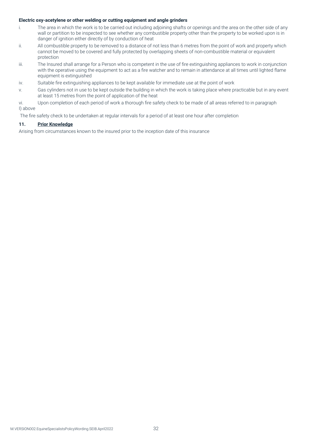# **Electric oxy-acetylene or other welding or cutting equipment and angle grinders**

- i. The area in which the work is to be carried out including adjoining shafts or openings and the area on the other side of any wall or partition to be inspected to see whether any combustible property other than the property to be worked upon is in danger of ignition either directly of by conduction of heat
- ii. All combustible property to be removed to a distance of not less than 6 metres from the point of work and property which cannot be moved to be covered and fully protected by overlapping sheets of non-combustible material or equivalent protection
- iii. The Insured shall arrange for a Person who is competent in the use of fire extinguishing appliances to work in conjunction with the operative using the equipment to act as a fire watcher and to remain in attendance at all times until lighted flame equipment is extinguished
- iv. Suitable fire extinguishing appliances to be kept available for immediate use at the point of work
- v. Gas cylinders not in use to be kept outside the building in which the work is taking place where practicable but in any event at least 15 metres from the point of application of the heat
- vi. Upon completion of each period of work a thorough fire safety check to be made of all areas referred to in paragraph I) above

The fire safety check to be undertaken at regular intervals for a period of at least one hour after completion

# **11. Prior Knowledge**

Arising from circumstances known to the insured prior to the inception date of this insurance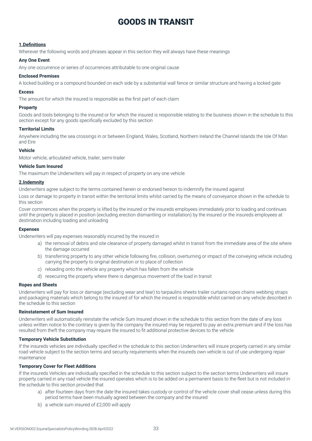# GOODS IN TRANSIT

#### **1.Definitions**

Wherever the following words and phrases appear in this section they will always have these meanings

#### **Any One Event**

Any one occurrence or series of occurrences attributable to one original cause

#### **Enclosed Premises**

A locked building or a compound bounded on each side by a substantial wall fence or similar structure and having a locked gate

#### **Excess**

The amount for which the insured is responsible as the first part of each claim

#### **Property**

Goods and tools belonging to the insured or for which the insured is responsible relating to the business shown in the schedule to this section except for any goods specifically excluded by this section

#### **Territorial Limits**

Anywhere including the sea crossings in or between England, Wales, Scotland, Northern Ireland the Channel Islands the Isle Of Man and Eire

#### **Vehicle**

Motor vehicle, articulated vehicle, trailer, semi-trailer

#### **Vehicle Sum Insured**

The maximum the Underwriters will pay in respect of property on any one vehicle

#### **2.Indemnity**

Underwriters agree subject to the terms contained herein or endorsed hereon to indemnify the insured against

Loss or damage to property in transit within the territorial limits whilst carried by the means of conveyance shown in the schedule to this section

Cover commences when the property is lifted by the insured or the insureds employees immediately prior to loading and continues until the property is placed in position (excluding erection dismantling or installation) by the insured or the insureds employees at destination including loading and unloading

#### **Expenses**

Underwriters will pay expenses reasonably incurred by the insured in

- a) the removal of debris and site clearance of property damaged whilst in transit from the immediate area of the site where the damage occurred
- b) transferring property to any other vehicle following fire, collision, overturning or impact of the conveying vehicle including carrying the property to original destination or to place of collection
- c) reloading onto the vehicle any property which has fallen from the vehicle
- d) resecuring the property where there is dangerous movement of the load in transit

#### **Ropes and Sheets**

Underwriters will pay for loss or damage (excluding wear and tear) to tarpaulins sheets trailer curtains ropes chains webbing straps and packaging materials which belong to the insured of for which the insured is responsible whilst carried on any vehicle described in the schedule to this section

#### **Reinstatement of Sum Insured**

Underwriters will automatically reinstate the vehicle Sum Insured shown in the schedule to this section from the date of any loss unless written notice to the contrary is given by the company the insured may be required to pay an extra premium and if the loss has resulted from theft the company may require the insured to fit additional protective devices to the vehicle

#### **Temporary Vehicle Substitution**

If the insureds vehicles are individually specified in the schedule to this section Underwriters will insure property carried in any similar road vehicle subject to the section terms and security requirements when the insureds own vehicle is out of use undergoing repair maintenance

#### **Temporary Cover for Fleet Additions**

If the insureds Vehicles are individually specified in the schedule to this section subject to the section terms Underwriters will insure property carried in any road vehicle the insured operates which is to be added on a permanent basis to the fleet but is not included in the schedule to this section provided that

- a) after fourteen days from the date the insured takes custody or control of the vehicle cover shall cease unless during this period terms have been mutually agreed between the company and the insured
- b) a vehicle sum insured of £2,000 will apply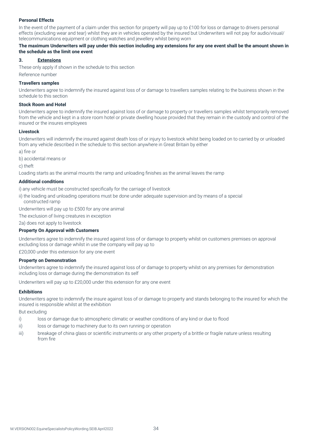# **Personal Effects**

In the event of the payment of a claim under this section for property will pay up to £100 for loss or damage to drivers personal effects (excluding wear and tear) whilst they are in vehicles operated by the insured but Underwriters will not pay for audio/visual/ telecommunications equipment or clothing watches and jewellery whilst being worn

### **The maximum Underwriters will pay under this section including any extensions for any one event shall be the amount shown in the schedule as the limit one event**

# **3. Extensions**

These only apply if shown in the schedule to this section Reference number

#### **Travellers samples**

Underwriters agree to indemnify the insured against loss of or damage to travellers samples relating to the business shown in the schedule to this section

#### **Stock Room and Hotel**

Underwriters agree to indemnify the insured against loss of or damage to property or travellers samples whilst temporarily removed from the vehicle and kept in a store room hotel or private dwelling house provided that they remain in the custody and control of the insured or the insures employees

#### **Livestock**

Underwriters will indemnify the insured against death loss of or injury to livestock whilst being loaded on to carried by or unloaded from any vehicle described in the schedule to this section anywhere in Great Britain by either

a) fire or

b) accidental means or

c) theft

Loading starts as the animal mounts the ramp and unloading finishes as the animal leaves the ramp

#### **Additional conditions**

i) any vehicle must be constructed specifically for the carriage of livestock

ii) the loading and unloading operations must be done under adequate supervision and by means of a special constructed ramp

Underwriters will pay up to £500 for any one animal

The exclusion of living creatures in exception

2a) does not apply to livestock

#### **Property On Approval with Customers**

Underwriters agree to indemnify the insured against loss of or damage to property whilst on customers premises on approval excluding loss or damage whilst in use the company will pay up to

£20,000 under this extension for any one event

#### **Property on Demonstration**

Underwriters agree to indemnify the insured against loss of or damage to property whilst on any premises for demonstration including loss or damage during the demonstration its self

Underwriters will pay up to £20,000 under this extension for any one event

#### **Exhibitions**

Underwriters agree to indemnify the insure against loss of or damage to property and stands belonging to the insured for which the insured is responsible whilst at the exhibition

But excluding

- i) loss or damage due to atmospheric climatic or weather conditions of any kind or due to flood
- ii) loss or damage to machinery due to its own running or operation
- iii) breakage of china glass or scientific instruments or any other property of a brittle or fragile nature unless resulting from fire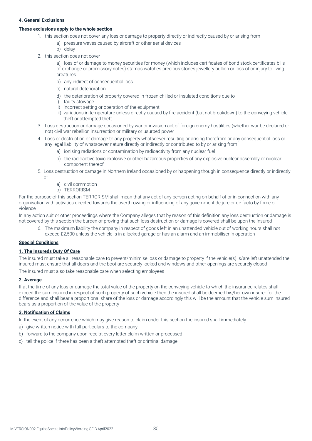# **4. General Exclusions**

#### **These exclusions apply to the whole section**

- 1. this section does not cover any loss or damage to property directly or indirectly caused by or arising from
	- a) pressure waves caused by aircraft or other aerial devices
		- b) delay
- 2. this section does not cover

a) loss of or damage to money securities for money (which includes certificates of bond stock certificates bills of exchange or promissory notes) stamps watches precious stones jewellery bullion or loss of or injury to living creatures

- b) any indirect of consequential loss
- c) natural deterioration
- d) the deterioration of property covered in frozen chilled or insulated conditions due to
- i) faulty stowage
- ii) incorrect setting or operation of the equipment
- iii) variations in temperature unless directly caused by fire accident (but not breakdown) to the conveying vehicle theft or attempted theft
- 3. Loss destruction or damage occasioned by war or invasion act of foreign enemy hostilities (whether war be declared or not) civil war rebellion insurrection or military or usurped power
- 4. Loss or destruction or damage to any property whatsoever resulting or arising therefrom or any consequential loss or any legal liability of whatsoever nature directly or indirectly or contributed to by or arising from
	- a) ionising radiations or contamination by radioactivity from any nuclear fuel
	- b) the radioactive toxic explosive or other hazardous properties of any explosive nuclear assembly or nuclear component thereof
- 5. Loss destruction or damage in Northern Ireland occasioned by or happening though in consequence directly or indirectly of
	- a) civil commotion
	- b) TERRORISM

For the purpose of this section TERRORISM shall mean that any act of any person acting on behalf of or in connection with any organisation with activities directed towards the overthrowing or influencing of any government de jure or de facto by force or violence

In any action suit or other proceedings where the Company alleges that by reason of this definition any loss destruction or damage is not covered by this section the burden of proving that such loss destruction or damage is covered shall be upon the insured

6. The maximum liability the company in respect of goods left in an unattended vehicle out of working hours shall not exceed £2,500 unless the vehicle is in a locked garage or has an alarm and an immobiliser in operation

#### **Special Conditions**

### **1. The Insureds Duty Of Care**

The insured must take all reasonable care to prevent/minimise loss or damage to property if the vehicle(s) is/are left unattended the insured must ensure that all doors and the boot are securely locked and windows and other openings are securely closed

The insured must also take reasonable care when selecting employees

# **2. Average**

If at the time of any loss or damage the total value of the property on the conveying vehicle to which the insurance relates shall exceed the sum insured in respect of such property of such vehicle then the insured shall be deemed his/her own insurer for the difference and shall bear a proportional share of the loss or damage accordingly this will be the amount that the vehicle sum insured bears as a proportion of the value of the property

#### **3. Notification of Claims**

In the event of any occurrence which may give reason to claim under this section the insured shall immediately

- a) give written notice with full particulars to the company
- b) forward to the company upon receipt every letter claim written or processed
- c) tell the police if there has been a theft attempted theft or criminal damage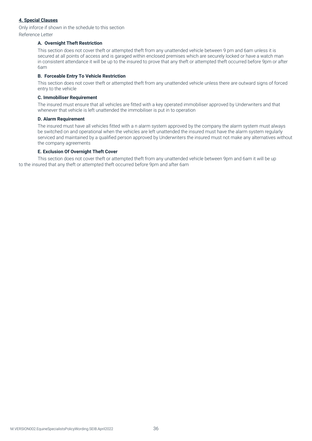# **4. Special Clauses**

Only inforce if shown in the schedule to this section

Reference Letter

# **A. Overnight Theft Restriction**

This section does not cover theft or attempted theft from any unattended vehicle between 9 pm and 6am unless it is secured at all points of access and is garaged within enclosed premises which are securely locked or have a watch man in consistent attendance it will be up to the insured to prove that any theft or attempted theft occurred before 9pm or after 6am

# **B. Forceable Entry To Vehicle Restriction**

This section does not cover theft or attempted theft from any unattended vehicle unless there are outward signs of forced entry to the vehicle

#### **C. Immobiliser Requirement**

The insured must ensure that all vehicles are fitted with a key operated immobiliser approved by Underwriters and that whenever that vehicle is left unattended the immobiliser is put in to operation

#### **D. Alarm Requirement**

The insured must have all vehicles fitted with a n alarm system approved by the company the alarm system must always be switched on and operational when the vehicles are left unattended the insured must have the alarm system regularly serviced and maintained by a qualified person approved by Underwriters the insured must not make any alternatives without the company agreements

# **E. Exclusion Of Overnight Theft Cover**

This section does not cover theft or attempted theft from any unattended vehicle between 9pm and 6am it will be up to the insured that any theft or attempted theft occurred before 9pm and after 6am